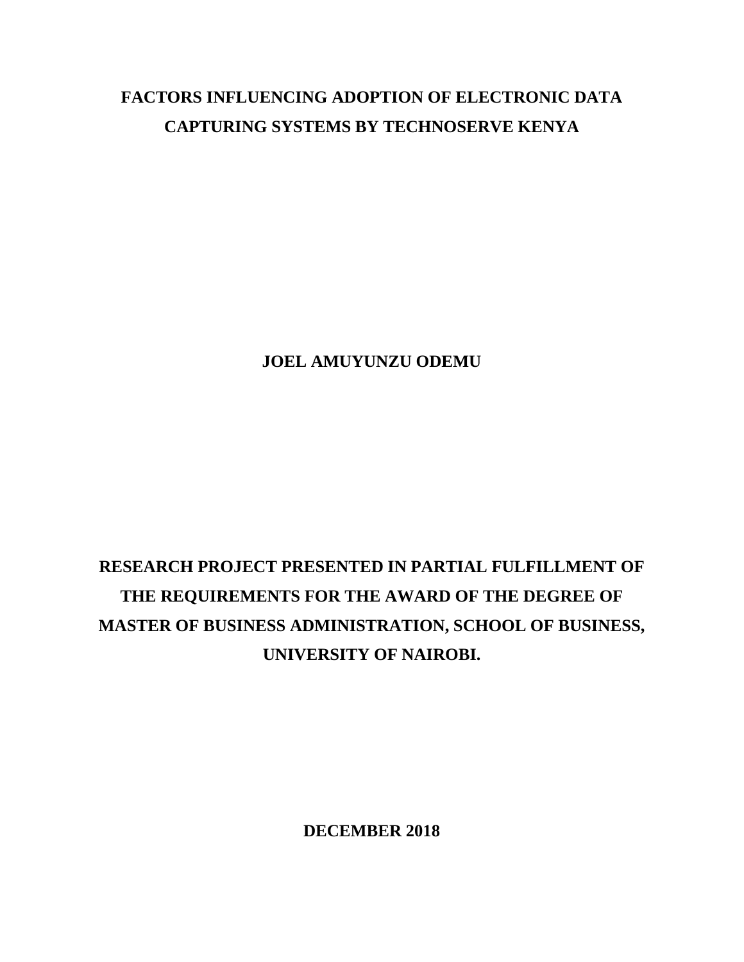# **FACTORS INFLUENCING ADOPTION OF ELECTRONIC DATA CAPTURING SYSTEMS BY TECHNOSERVE KENYA**

**JOEL AMUYUNZU ODEMU**

# **RESEARCH PROJECT PRESENTED IN PARTIAL FULFILLMENT OF THE REQUIREMENTS FOR THE AWARD OF THE DEGREE OF MASTER OF BUSINESS ADMINISTRATION, SCHOOL OF BUSINESS, UNIVERSITY OF NAIROBI.**

**DECEMBER 2018**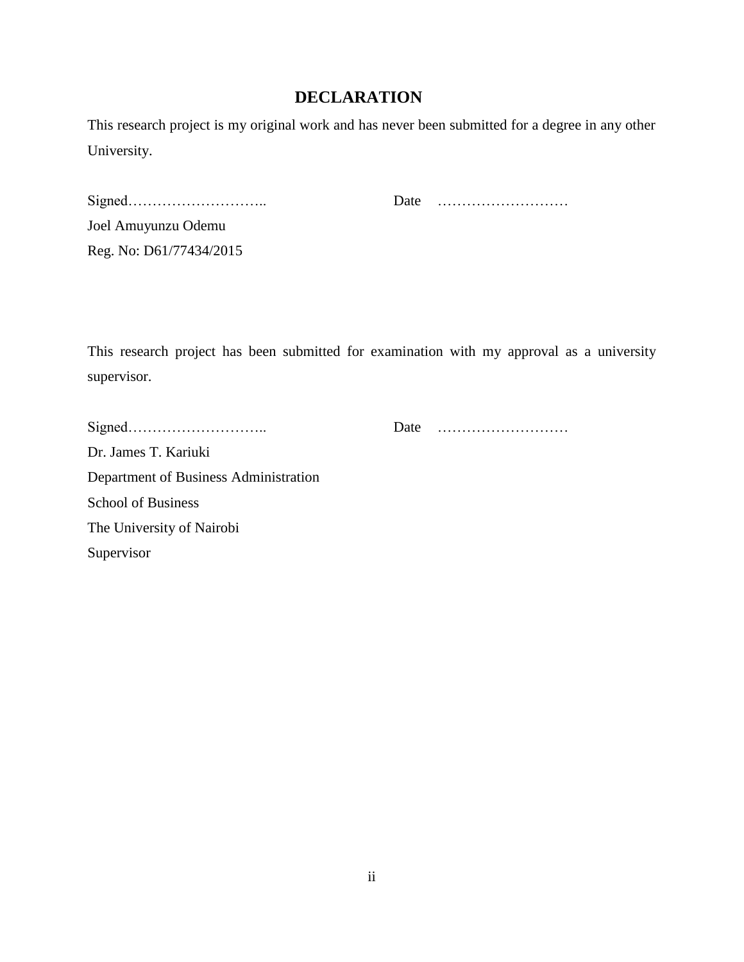### **DECLARATION**

<span id="page-1-0"></span>This research project is my original work and has never been submitted for a degree in any other University.

| Joel Amuyunzu Odemu     |
|-------------------------|
| Reg. No: D61/77434/2015 |

Signed……………………….. Date ………………………

This research project has been submitted for examination with my approval as a university supervisor.

|                                       | Date |  |
|---------------------------------------|------|--|
| Dr. James T. Kariuki                  |      |  |
| Department of Business Administration |      |  |
| <b>School of Business</b>             |      |  |
| The University of Nairobi             |      |  |
| Supervisor                            |      |  |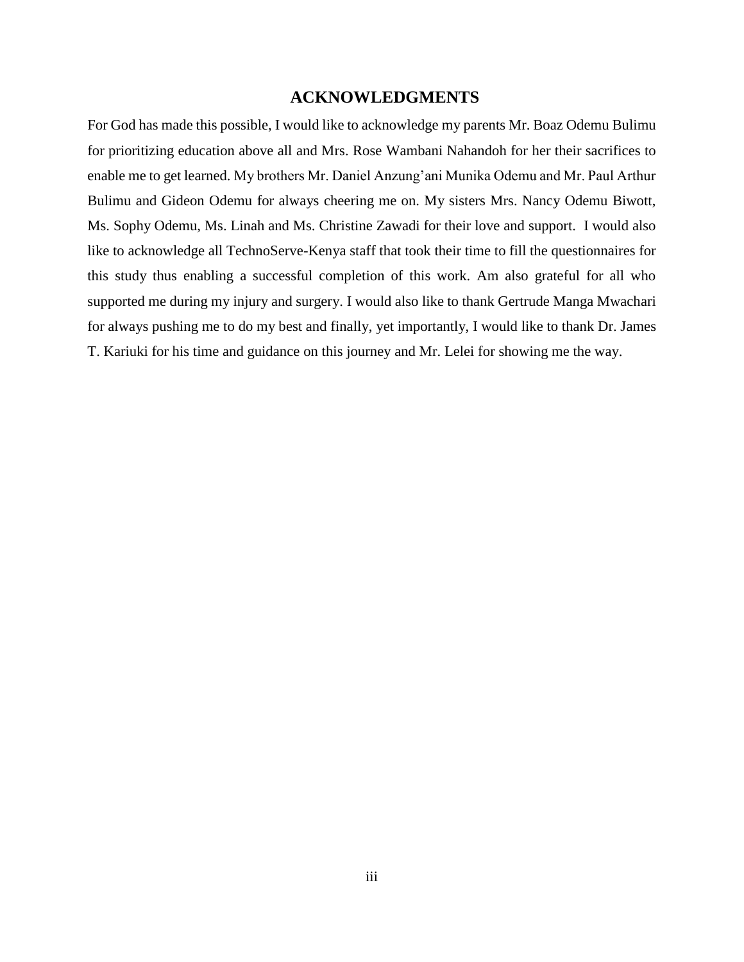#### **ACKNOWLEDGMENTS**

<span id="page-2-0"></span>For God has made this possible, I would like to acknowledge my parents Mr. Boaz Odemu Bulimu for prioritizing education above all and Mrs. Rose Wambani Nahandoh for her their sacrifices to enable me to get learned. My brothers Mr. Daniel Anzung'ani Munika Odemu and Mr. Paul Arthur Bulimu and Gideon Odemu for always cheering me on. My sisters Mrs. Nancy Odemu Biwott, Ms. Sophy Odemu, Ms. Linah and Ms. Christine Zawadi for their love and support. I would also like to acknowledge all TechnoServe-Kenya staff that took their time to fill the questionnaires for this study thus enabling a successful completion of this work. Am also grateful for all who supported me during my injury and surgery. I would also like to thank Gertrude Manga Mwachari for always pushing me to do my best and finally, yet importantly, I would like to thank Dr. James T. Kariuki for his time and guidance on this journey and Mr. Lelei for showing me the way.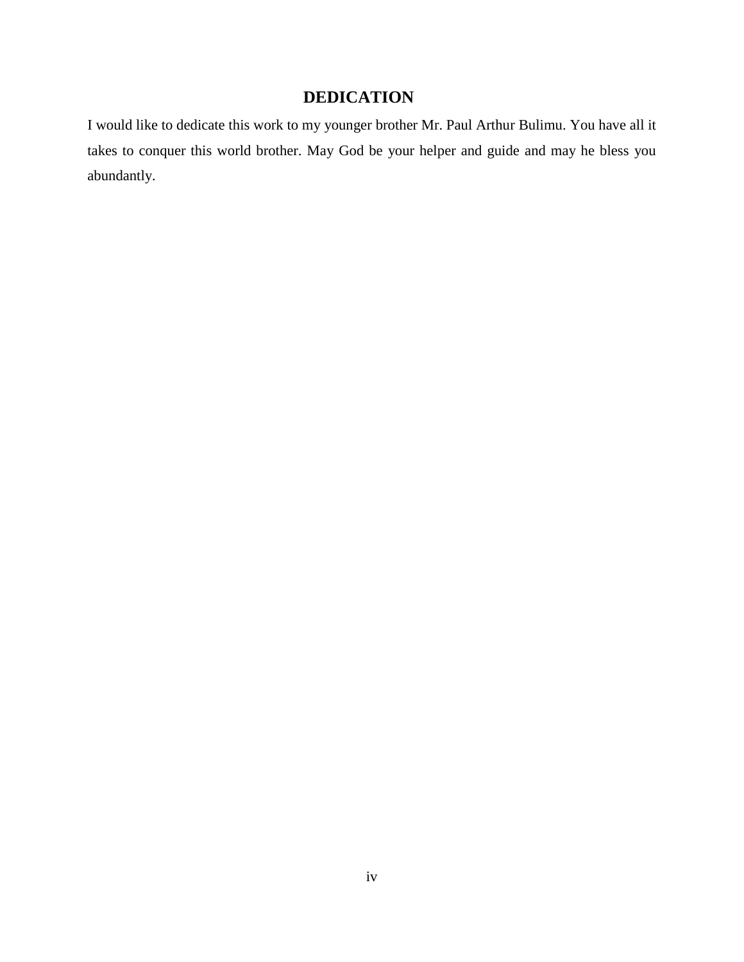## **DEDICATION**

<span id="page-3-0"></span>I would like to dedicate this work to my younger brother Mr. Paul Arthur Bulimu. You have all it takes to conquer this world brother. May God be your helper and guide and may he bless you abundantly.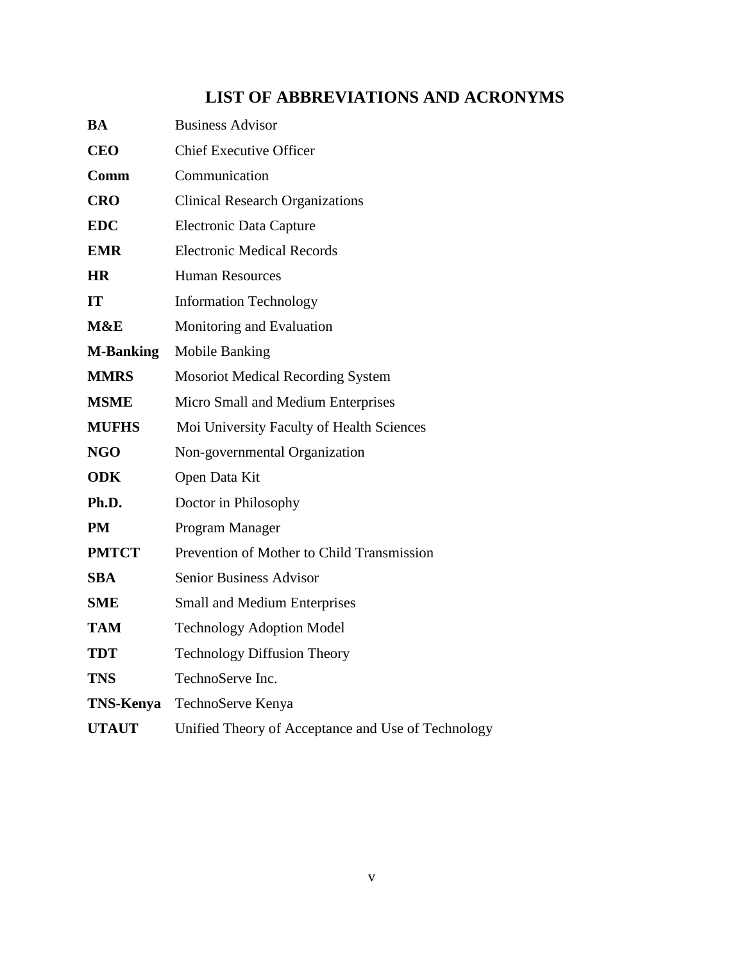## **LIST OF ABBREVIATIONS AND ACRONYMS**

<span id="page-4-0"></span>

| <b>BA</b>        | <b>Business Advisor</b>                            |
|------------------|----------------------------------------------------|
| <b>CEO</b>       | <b>Chief Executive Officer</b>                     |
| Comm             | Communication                                      |
| <b>CRO</b>       | <b>Clinical Research Organizations</b>             |
| <b>EDC</b>       | <b>Electronic Data Capture</b>                     |
| <b>EMR</b>       | <b>Electronic Medical Records</b>                  |
| <b>HR</b>        | <b>Human Resources</b>                             |
| <b>IT</b>        | <b>Information Technology</b>                      |
| M&E              | Monitoring and Evaluation                          |
| <b>M-Banking</b> | <b>Mobile Banking</b>                              |
| <b>MMRS</b>      | <b>Mosoriot Medical Recording System</b>           |
| <b>MSME</b>      | Micro Small and Medium Enterprises                 |
| <b>MUFHS</b>     | Moi University Faculty of Health Sciences          |
| <b>NGO</b>       | Non-governmental Organization                      |
| <b>ODK</b>       | Open Data Kit                                      |
| Ph.D.            | Doctor in Philosophy                               |
| PM               | Program Manager                                    |
| <b>PMTCT</b>     | Prevention of Mother to Child Transmission         |
| <b>SBA</b>       | <b>Senior Business Advisor</b>                     |
| <b>SME</b>       | <b>Small and Medium Enterprises</b>                |
| <b>TAM</b>       | <b>Technology Adoption Model</b>                   |
| <b>TDT</b>       | <b>Technology Diffusion Theory</b>                 |
| <b>TNS</b>       | TechnoServe Inc.                                   |
| <b>TNS-Kenya</b> | TechnoServe Kenya                                  |
| <b>UTAUT</b>     | Unified Theory of Acceptance and Use of Technology |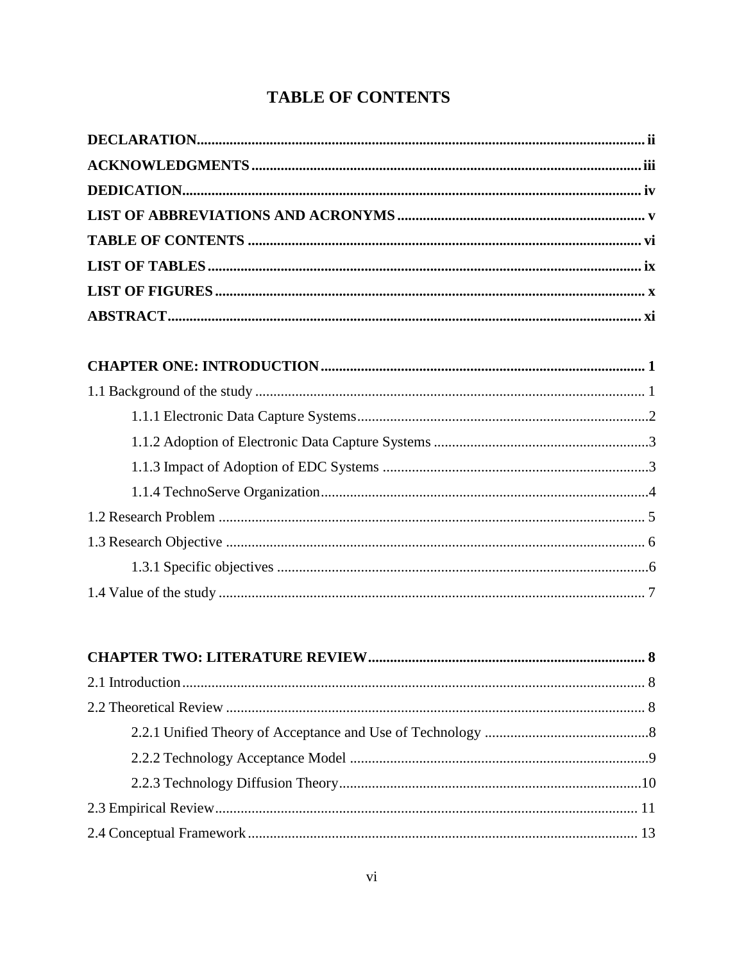## <span id="page-5-0"></span>**TABLE OF CONTENTS**

| $22 \text{ T}$<br>$\overline{a}$ |  |
|----------------------------------|--|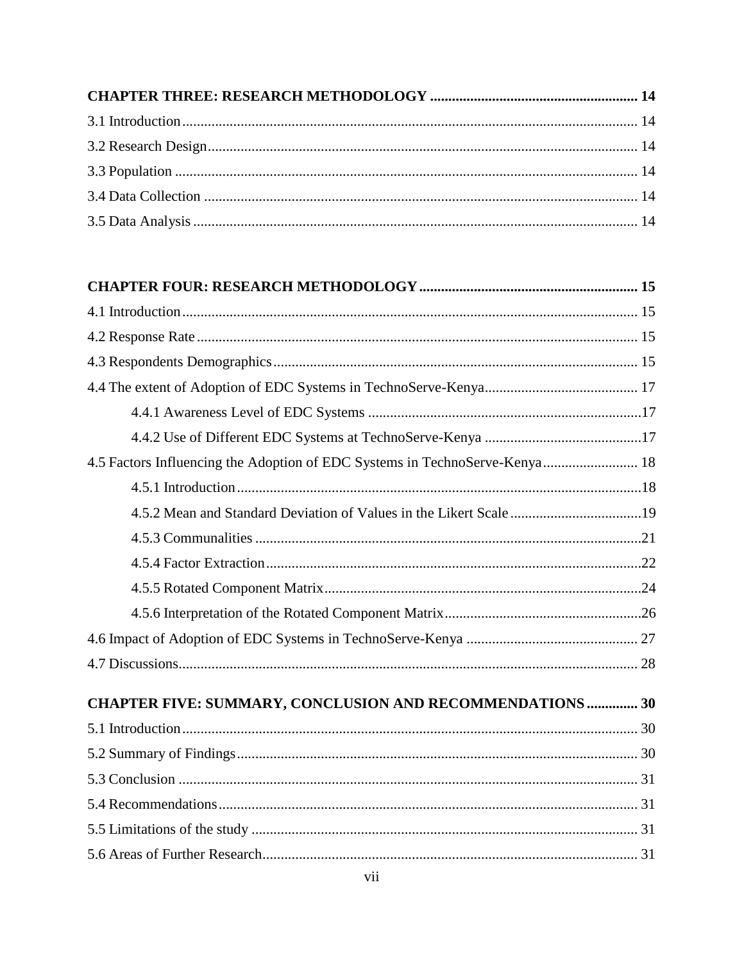| 4.5 Factors Influencing the Adoption of EDC Systems in TechnoServe-Kenya 18 |  |
|-----------------------------------------------------------------------------|--|
|                                                                             |  |
|                                                                             |  |
|                                                                             |  |
|                                                                             |  |
|                                                                             |  |
|                                                                             |  |
|                                                                             |  |
|                                                                             |  |
| <b>CHAPTER FIVE: SUMMARY, CONCLUSION AND RECOMMENDATIONS  30</b>            |  |
|                                                                             |  |
|                                                                             |  |
|                                                                             |  |
|                                                                             |  |
|                                                                             |  |
|                                                                             |  |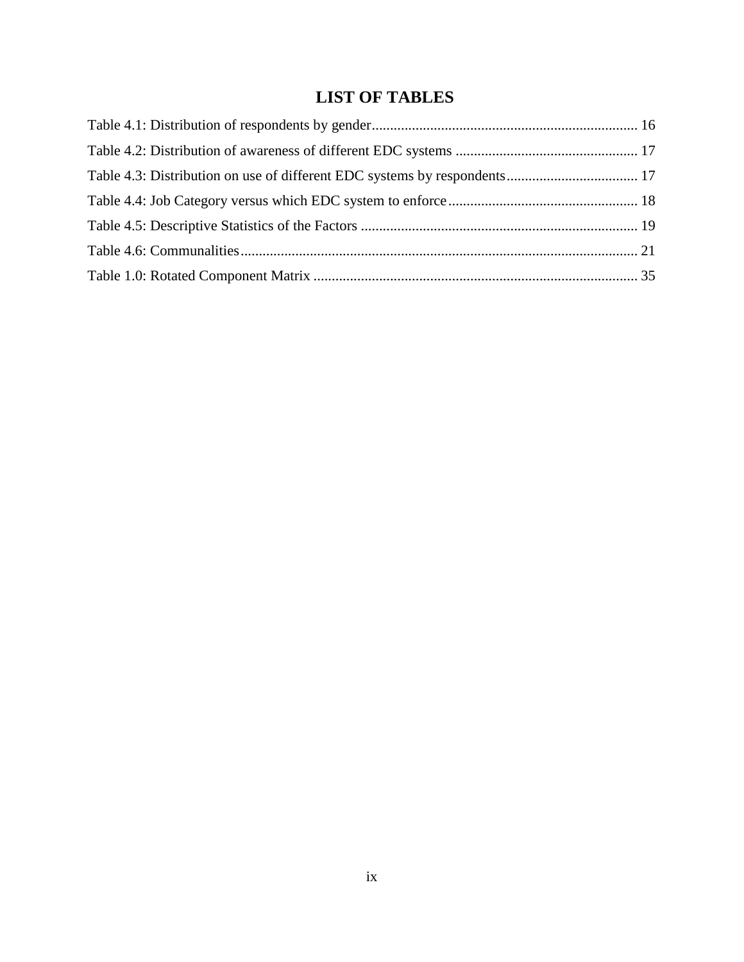## **LIST OF TABLES**

<span id="page-8-0"></span>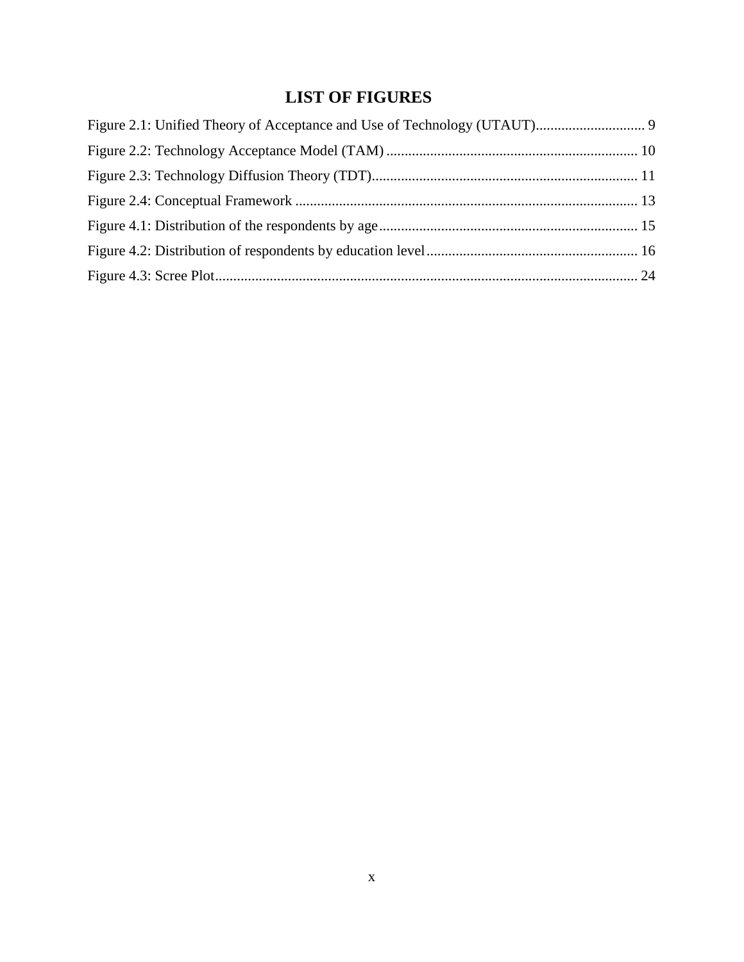## **LIST OF FIGURES**

<span id="page-9-0"></span>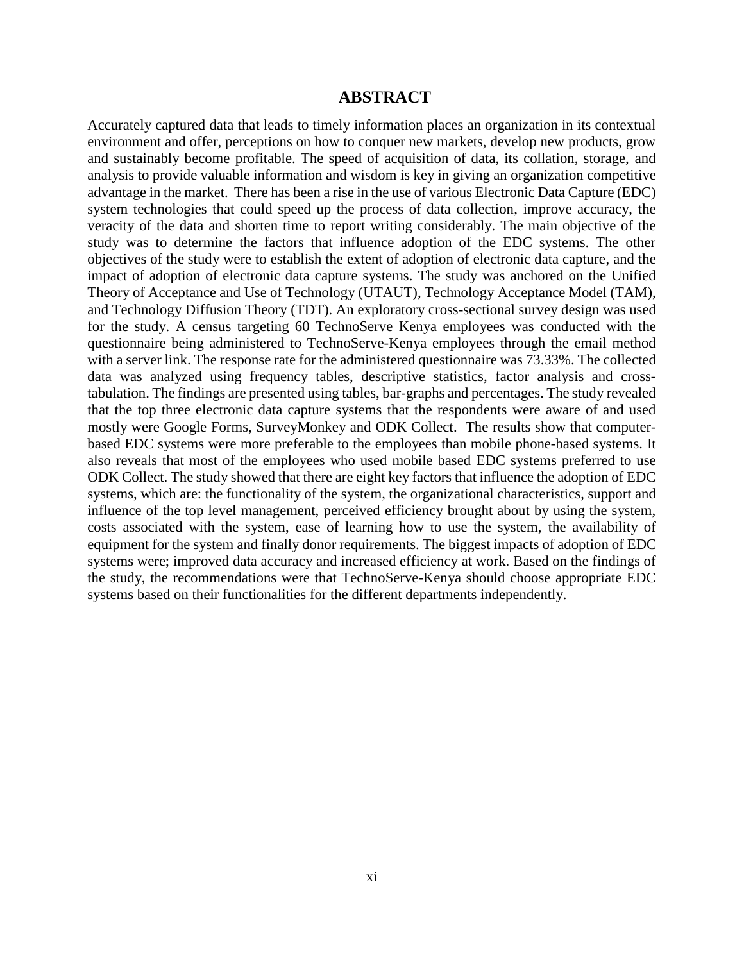#### **ABSTRACT**

<span id="page-10-0"></span>Accurately captured data that leads to timely information places an organization in its contextual environment and offer, perceptions on how to conquer new markets, develop new products, grow and sustainably become profitable. The speed of acquisition of data, its collation, storage, and analysis to provide valuable information and wisdom is key in giving an organization competitive advantage in the market. There has been a rise in the use of various Electronic Data Capture (EDC) system technologies that could speed up the process of data collection, improve accuracy, the veracity of the data and shorten time to report writing considerably. The main objective of the study was to determine the factors that influence adoption of the EDC systems. The other objectives of the study were to establish the extent of adoption of electronic data capture, and the impact of adoption of electronic data capture systems. The study was anchored on the Unified Theory of Acceptance and Use of Technology (UTAUT), Technology Acceptance Model (TAM), and Technology Diffusion Theory (TDT). An exploratory cross-sectional survey design was used for the study. A census targeting 60 TechnoServe Kenya employees was conducted with the questionnaire being administered to TechnoServe-Kenya employees through the email method with a server link. The response rate for the administered questionnaire was 73.33%. The collected data was analyzed using frequency tables, descriptive statistics, factor analysis and crosstabulation. The findings are presented using tables, bar-graphs and percentages. The study revealed that the top three electronic data capture systems that the respondents were aware of and used mostly were Google Forms, SurveyMonkey and ODK Collect. The results show that computerbased EDC systems were more preferable to the employees than mobile phone-based systems. It also reveals that most of the employees who used mobile based EDC systems preferred to use ODK Collect. The study showed that there are eight key factors that influence the adoption of EDC systems, which are: the functionality of the system, the organizational characteristics, support and influence of the top level management, perceived efficiency brought about by using the system, costs associated with the system, ease of learning how to use the system, the availability of equipment for the system and finally donor requirements. The biggest impacts of adoption of EDC systems were; improved data accuracy and increased efficiency at work. Based on the findings of the study, the recommendations were that TechnoServe-Kenya should choose appropriate EDC systems based on their functionalities for the different departments independently.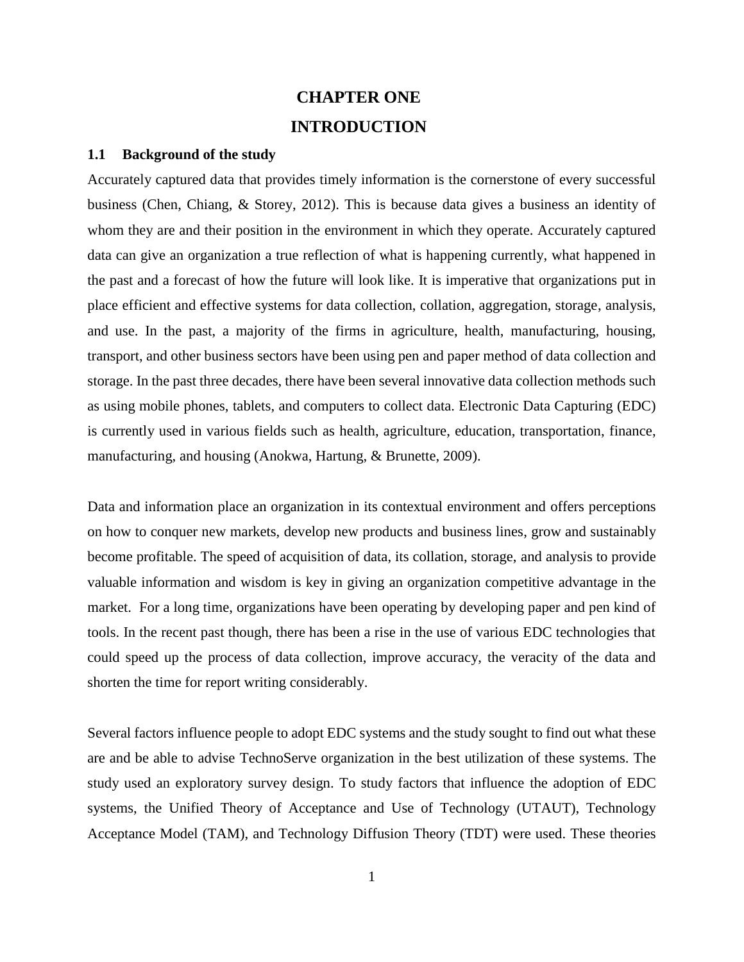## **CHAPTER ONE INTRODUCTION**

#### <span id="page-11-1"></span><span id="page-11-0"></span>**1.1 Background of the study**

Accurately captured data that provides timely information is the cornerstone of every successful business (Chen, Chiang, & Storey, 2012). This is because data gives a business an identity of whom they are and their position in the environment in which they operate. Accurately captured data can give an organization a true reflection of what is happening currently, what happened in the past and a forecast of how the future will look like. It is imperative that organizations put in place efficient and effective systems for data collection, collation, aggregation, storage, analysis, and use. In the past, a majority of the firms in agriculture, health, manufacturing, housing, transport, and other business sectors have been using pen and paper method of data collection and storage. In the past three decades, there have been several innovative data collection methods such as using mobile phones, tablets, and computers to collect data. Electronic Data Capturing (EDC) is currently used in various fields such as health, agriculture, education, transportation, finance, manufacturing, and housing (Anokwa, Hartung, & Brunette, 2009).

Data and information place an organization in its contextual environment and offers perceptions on how to conquer new markets, develop new products and business lines, grow and sustainably become profitable. The speed of acquisition of data, its collation, storage, and analysis to provide valuable information and wisdom is key in giving an organization competitive advantage in the market. For a long time, organizations have been operating by developing paper and pen kind of tools. In the recent past though, there has been a rise in the use of various EDC technologies that could speed up the process of data collection, improve accuracy, the veracity of the data and shorten the time for report writing considerably.

Several factors influence people to adopt EDC systems and the study sought to find out what these are and be able to advise TechnoServe organization in the best utilization of these systems. The study used an exploratory survey design. To study factors that influence the adoption of EDC systems, the Unified Theory of Acceptance and Use of Technology (UTAUT), Technology Acceptance Model (TAM), and Technology Diffusion Theory (TDT) were used. These theories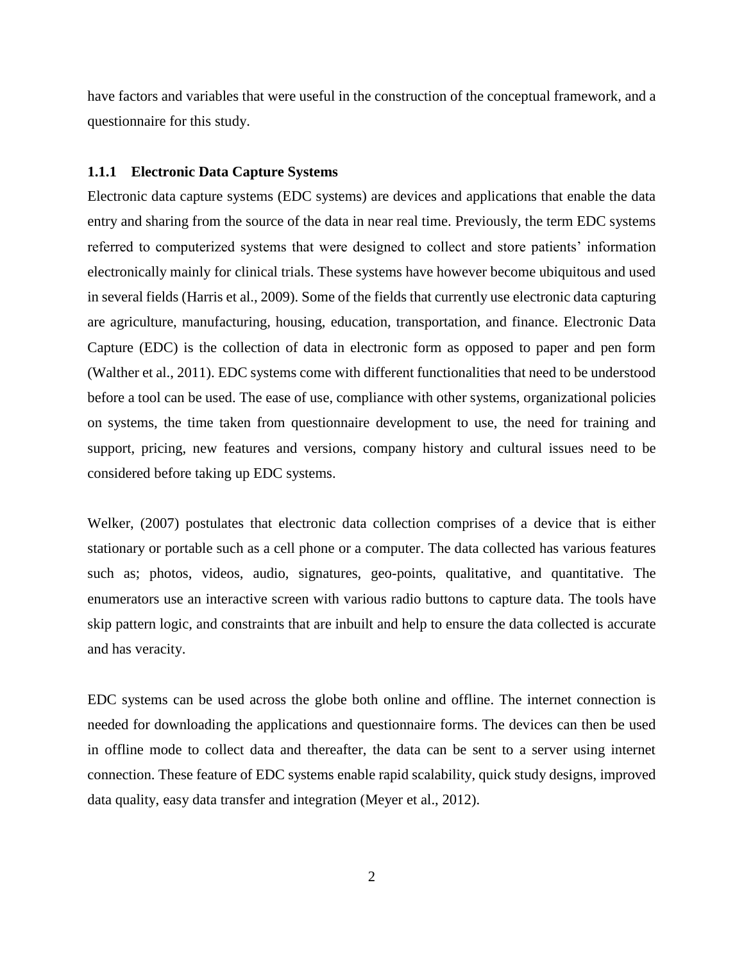have factors and variables that were useful in the construction of the conceptual framework, and a questionnaire for this study.

#### <span id="page-12-0"></span>**1.1.1 Electronic Data Capture Systems**

Electronic data capture systems (EDC systems) are devices and applications that enable the data entry and sharing from the source of the data in near real time. Previously, the term EDC systems referred to computerized systems that were designed to collect and store patients' information electronically mainly for clinical trials. These systems have however become ubiquitous and used in several fields (Harris et al., 2009). Some of the fields that currently use electronic data capturing are agriculture, manufacturing, housing, education, transportation, and finance. Electronic Data Capture (EDC) is the collection of data in electronic form as opposed to paper and pen form (Walther et al., 2011). EDC systems come with different functionalities that need to be understood before a tool can be used. The ease of use, compliance with other systems, organizational policies on systems, the time taken from questionnaire development to use, the need for training and support, pricing, new features and versions, company history and cultural issues need to be considered before taking up EDC systems.

Welker, (2007) postulates that electronic data collection comprises of a device that is either stationary or portable such as a cell phone or a computer. The data collected has various features such as; photos, videos, audio, signatures, geo-points, qualitative, and quantitative. The enumerators use an interactive screen with various radio buttons to capture data. The tools have skip pattern logic, and constraints that are inbuilt and help to ensure the data collected is accurate and has veracity.

EDC systems can be used across the globe both online and offline. The internet connection is needed for downloading the applications and questionnaire forms. The devices can then be used in offline mode to collect data and thereafter, the data can be sent to a server using internet connection. These feature of EDC systems enable rapid scalability, quick study designs, improved data quality, easy data transfer and integration (Meyer et al., 2012).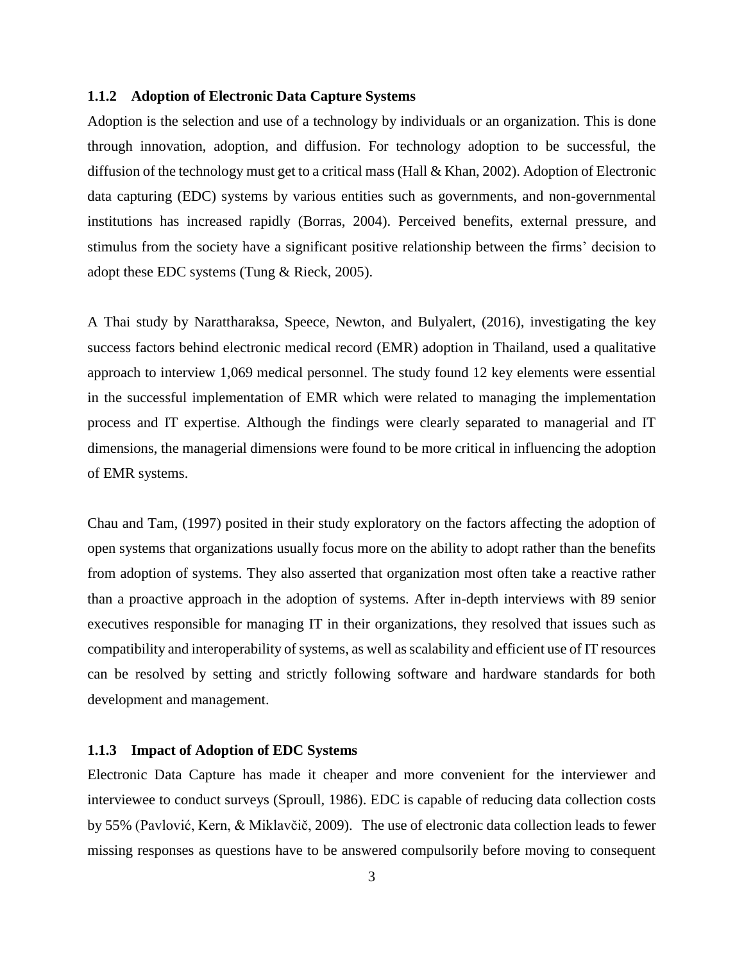#### <span id="page-13-0"></span>**1.1.2 Adoption of Electronic Data Capture Systems**

Adoption is the selection and use of a technology by individuals or an organization. This is done through innovation, adoption, and diffusion. For technology adoption to be successful, the diffusion of the technology must get to a critical mass (Hall & Khan, 2002). Adoption of Electronic data capturing (EDC) systems by various entities such as governments, and non-governmental institutions has increased rapidly (Borras, 2004). Perceived benefits, external pressure, and stimulus from the society have a significant positive relationship between the firms' decision to adopt these EDC systems (Tung & Rieck, 2005).

A Thai study by Narattharaksa, Speece, Newton, and Bulyalert, (2016), investigating the key success factors behind electronic medical record (EMR) adoption in Thailand, used a qualitative approach to interview 1,069 medical personnel. The study found 12 key elements were essential in the successful implementation of EMR which were related to managing the implementation process and IT expertise. Although the findings were clearly separated to managerial and IT dimensions, the managerial dimensions were found to be more critical in influencing the adoption of EMR systems.

Chau and Tam, (1997) posited in their study exploratory on the factors affecting the adoption of open systems that organizations usually focus more on the ability to adopt rather than the benefits from adoption of systems. They also asserted that organization most often take a reactive rather than a proactive approach in the adoption of systems. After in-depth interviews with 89 senior executives responsible for managing IT in their organizations, they resolved that issues such as compatibility and interoperability of systems, as well as scalability and efficient use of IT resources can be resolved by setting and strictly following software and hardware standards for both development and management.

#### <span id="page-13-1"></span>**1.1.3 Impact of Adoption of EDC Systems**

Electronic Data Capture has made it cheaper and more convenient for the interviewer and interviewee to conduct surveys (Sproull, 1986). EDC is capable of reducing data collection costs by 55% (Pavlović, Kern, & Miklavčič, 2009). The use of electronic data collection leads to fewer missing responses as questions have to be answered compulsorily before moving to consequent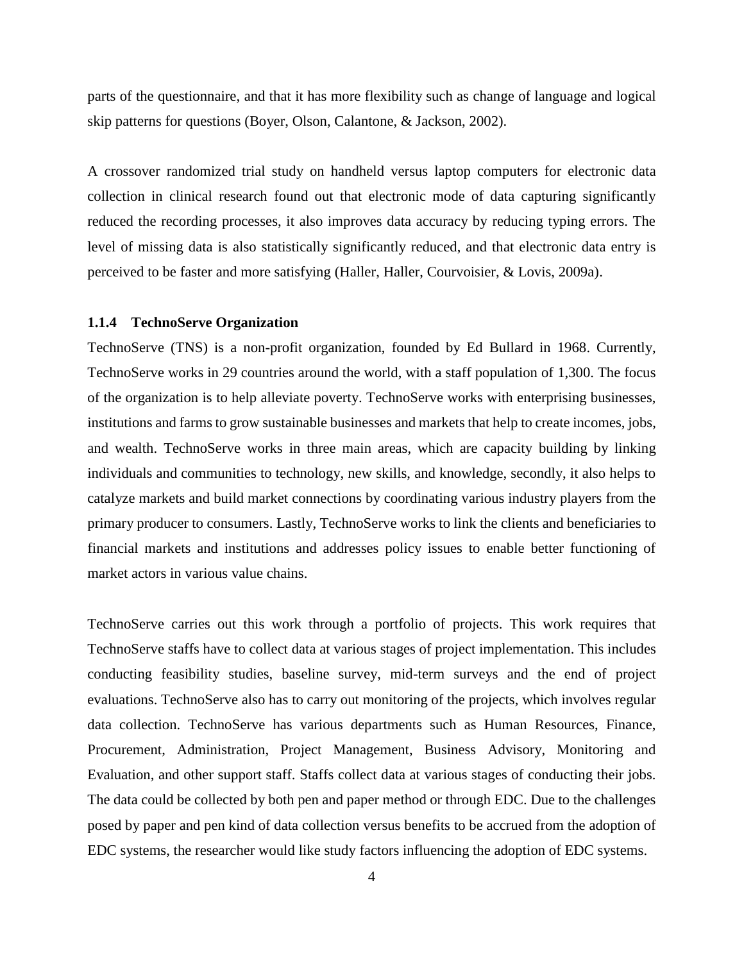parts of the questionnaire, and that it has more flexibility such as change of language and logical skip patterns for questions (Boyer, Olson, Calantone, & Jackson, 2002).

A crossover randomized trial study on handheld versus laptop computers for electronic data collection in clinical research found out that electronic mode of data capturing significantly reduced the recording processes, it also improves data accuracy by reducing typing errors. The level of missing data is also statistically significantly reduced, and that electronic data entry is perceived to be faster and more satisfying (Haller, Haller, Courvoisier, & Lovis, 2009a).

#### <span id="page-14-0"></span>**1.1.4 TechnoServe Organization**

TechnoServe (TNS) is a non-profit organization, founded by Ed Bullard in 1968. Currently, TechnoServe works in 29 countries around the world, with a staff population of 1,300. The focus of the organization is to help alleviate poverty. TechnoServe works with enterprising businesses, institutions and farms to grow sustainable businesses and markets that help to create incomes, jobs, and wealth. TechnoServe works in three main areas, which are capacity building by linking individuals and communities to technology, new skills, and knowledge, secondly, it also helps to catalyze markets and build market connections by coordinating various industry players from the primary producer to consumers. Lastly, TechnoServe works to link the clients and beneficiaries to financial markets and institutions and addresses policy issues to enable better functioning of market actors in various value chains.

TechnoServe carries out this work through a portfolio of projects. This work requires that TechnoServe staffs have to collect data at various stages of project implementation. This includes conducting feasibility studies, baseline survey, mid-term surveys and the end of project evaluations. TechnoServe also has to carry out monitoring of the projects, which involves regular data collection. TechnoServe has various departments such as Human Resources, Finance, Procurement, Administration, Project Management, Business Advisory, Monitoring and Evaluation, and other support staff. Staffs collect data at various stages of conducting their jobs. The data could be collected by both pen and paper method or through EDC. Due to the challenges posed by paper and pen kind of data collection versus benefits to be accrued from the adoption of EDC systems, the researcher would like study factors influencing the adoption of EDC systems.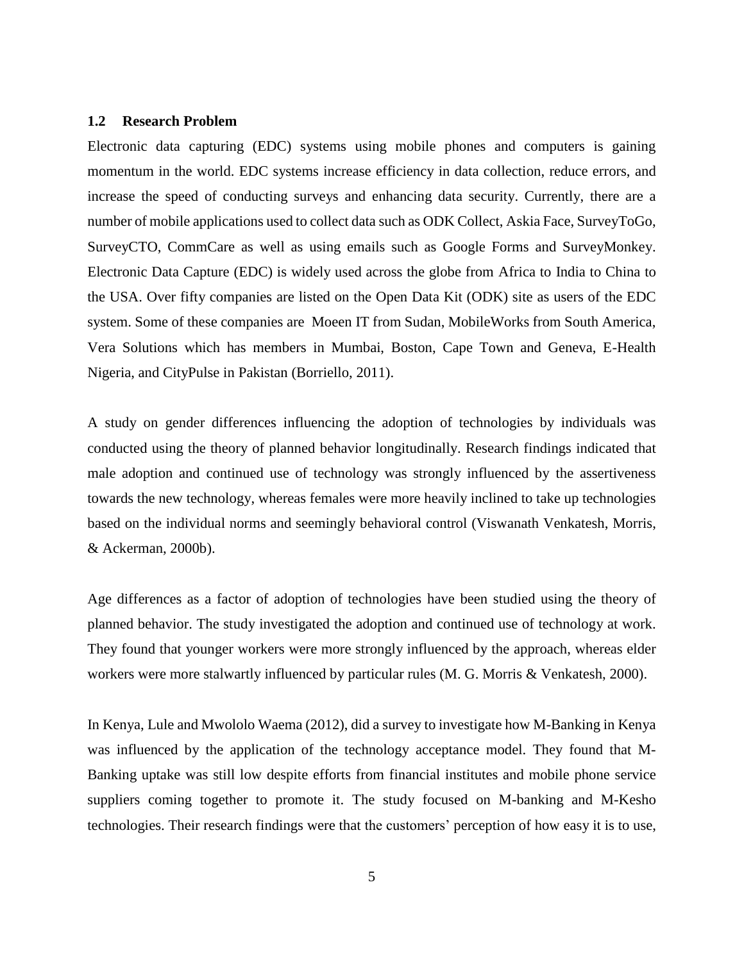#### <span id="page-15-0"></span>**1.2 Research Problem**

Electronic data capturing (EDC) systems using mobile phones and computers is gaining momentum in the world. EDC systems increase efficiency in data collection, reduce errors, and increase the speed of conducting surveys and enhancing data security. Currently, there are a number of mobile applications used to collect data such as ODK Collect, Askia Face, SurveyToGo, SurveyCTO, CommCare as well as using emails such as Google Forms and SurveyMonkey. Electronic Data Capture (EDC) is widely used across the globe from Africa to India to China to the USA. Over fifty companies are listed on the Open Data Kit (ODK) site as users of the EDC system. Some of these companies are Moeen IT from Sudan, MobileWorks from South America, Vera Solutions which has members in Mumbai, Boston, Cape Town and Geneva, E-Health Nigeria, and CityPulse in Pakistan (Borriello, 2011).

A study on gender differences influencing the adoption of technologies by individuals was conducted using the theory of planned behavior longitudinally. Research findings indicated that male adoption and continued use of technology was strongly influenced by the assertiveness towards the new technology, whereas females were more heavily inclined to take up technologies based on the individual norms and seemingly behavioral control (Viswanath Venkatesh, Morris, & Ackerman, 2000b).

Age differences as a factor of adoption of technologies have been studied using the theory of planned behavior. The study investigated the adoption and continued use of technology at work. They found that younger workers were more strongly influenced by the approach, whereas elder workers were more stalwartly influenced by particular rules (M. G. Morris & Venkatesh, 2000).

In Kenya, Lule and Mwololo Waema (2012), did a survey to investigate how M-Banking in Kenya was influenced by the application of the technology acceptance model. They found that M-Banking uptake was still low despite efforts from financial institutes and mobile phone service suppliers coming together to promote it. The study focused on M-banking and M-Kesho technologies. Their research findings were that the customers' perception of how easy it is to use,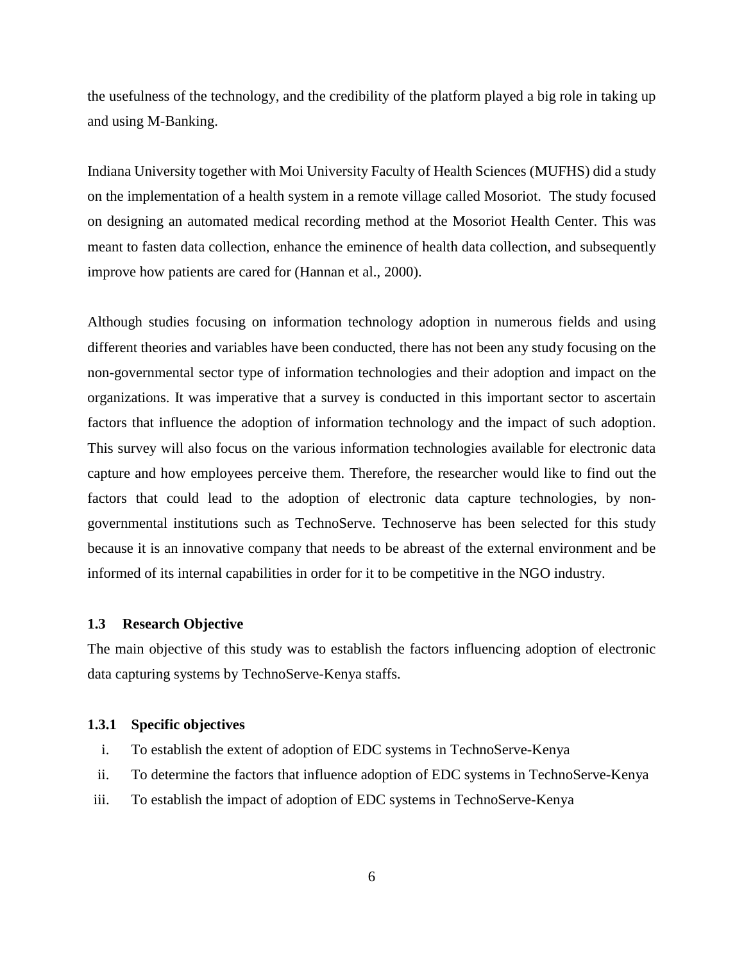the usefulness of the technology, and the credibility of the platform played a big role in taking up and using M-Banking.

Indiana University together with Moi University Faculty of Health Sciences (MUFHS) did a study on the implementation of a health system in a remote village called Mosoriot. The study focused on designing an automated medical recording method at the Mosoriot Health Center. This was meant to fasten data collection, enhance the eminence of health data collection, and subsequently improve how patients are cared for (Hannan et al., 2000).

Although studies focusing on information technology adoption in numerous fields and using different theories and variables have been conducted, there has not been any study focusing on the non-governmental sector type of information technologies and their adoption and impact on the organizations. It was imperative that a survey is conducted in this important sector to ascertain factors that influence the adoption of information technology and the impact of such adoption. This survey will also focus on the various information technologies available for electronic data capture and how employees perceive them. Therefore, the researcher would like to find out the factors that could lead to the adoption of electronic data capture technologies, by nongovernmental institutions such as TechnoServe. Technoserve has been selected for this study because it is an innovative company that needs to be abreast of the external environment and be informed of its internal capabilities in order for it to be competitive in the NGO industry.

#### <span id="page-16-0"></span>**1.3 Research Objective**

The main objective of this study was to establish the factors influencing adoption of electronic data capturing systems by TechnoServe-Kenya staffs.

#### <span id="page-16-1"></span>**1.3.1 Specific objectives**

- i. To establish the extent of adoption of EDC systems in TechnoServe-Kenya
- ii. To determine the factors that influence adoption of EDC systems in TechnoServe-Kenya
- iii. To establish the impact of adoption of EDC systems in TechnoServe-Kenya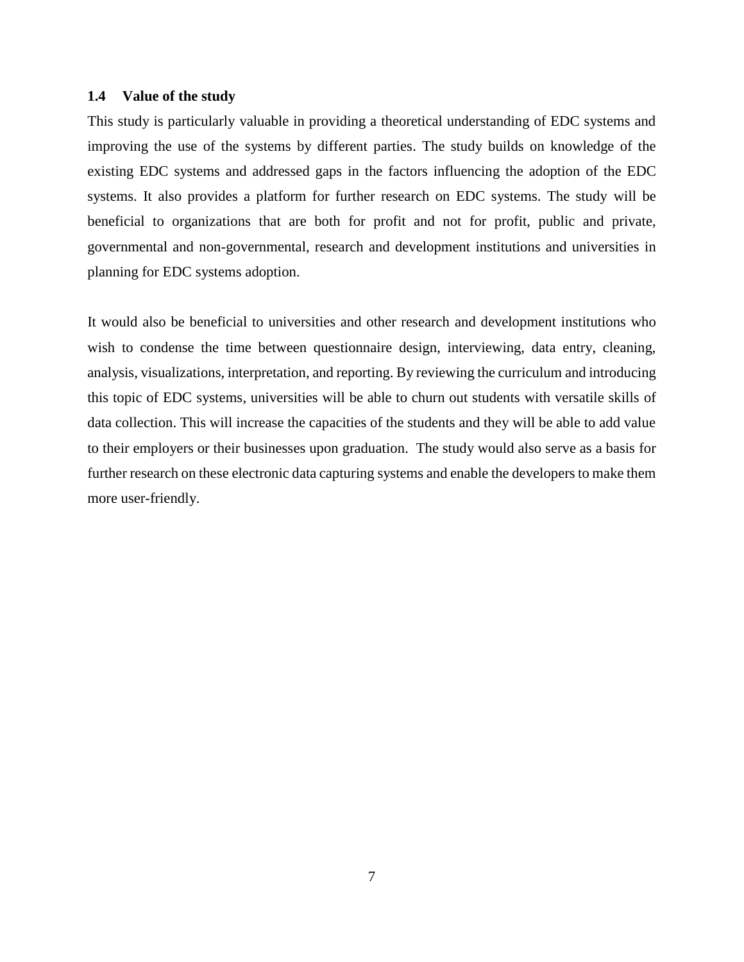#### <span id="page-17-0"></span>**1.4 Value of the study**

This study is particularly valuable in providing a theoretical understanding of EDC systems and improving the use of the systems by different parties. The study builds on knowledge of the existing EDC systems and addressed gaps in the factors influencing the adoption of the EDC systems. It also provides a platform for further research on EDC systems. The study will be beneficial to organizations that are both for profit and not for profit, public and private, governmental and non-governmental, research and development institutions and universities in planning for EDC systems adoption.

It would also be beneficial to universities and other research and development institutions who wish to condense the time between questionnaire design, interviewing, data entry, cleaning, analysis, visualizations, interpretation, and reporting. By reviewing the curriculum and introducing this topic of EDC systems, universities will be able to churn out students with versatile skills of data collection. This will increase the capacities of the students and they will be able to add value to their employers or their businesses upon graduation. The study would also serve as a basis for further research on these electronic data capturing systems and enable the developers to make them more user-friendly.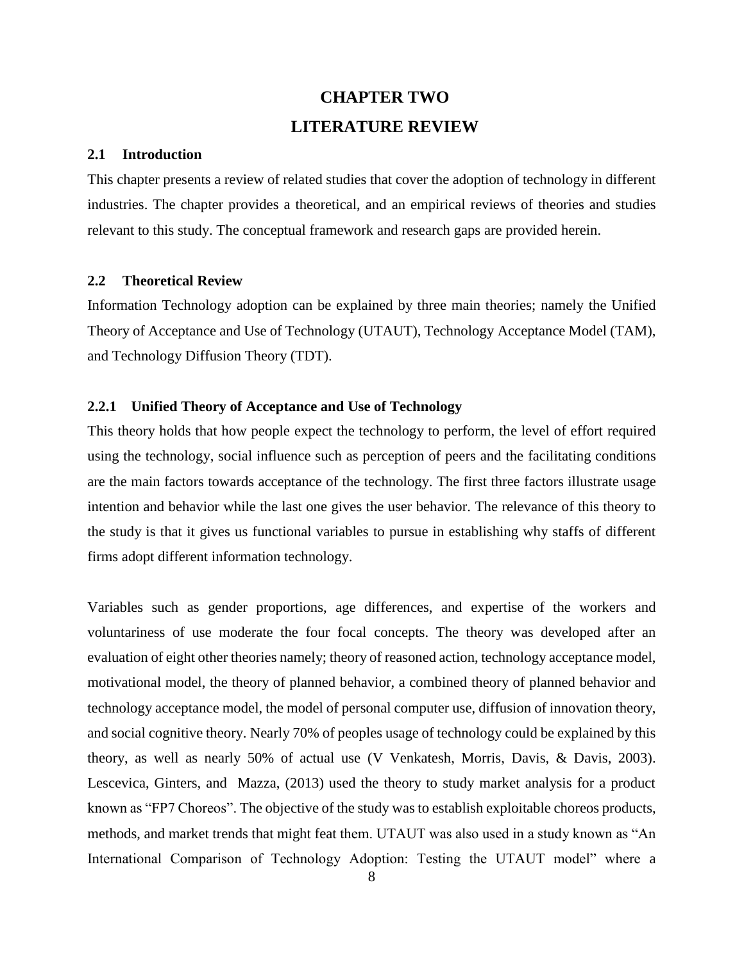## **CHAPTER TWO LITERATURE REVIEW**

#### <span id="page-18-1"></span><span id="page-18-0"></span>**2.1 Introduction**

This chapter presents a review of related studies that cover the adoption of technology in different industries. The chapter provides a theoretical, and an empirical reviews of theories and studies relevant to this study. The conceptual framework and research gaps are provided herein.

### <span id="page-18-2"></span>**2.2 Theoretical Review**

Information Technology adoption can be explained by three main theories; namely the Unified Theory of Acceptance and Use of Technology (UTAUT), Technology Acceptance Model (TAM), and Technology Diffusion Theory (TDT).

#### <span id="page-18-3"></span>**2.2.1 Unified Theory of Acceptance and Use of Technology**

This theory holds that how people expect the technology to perform, the level of effort required using the technology, social influence such as perception of peers and the facilitating conditions are the main factors towards acceptance of the technology. The first three factors illustrate usage intention and behavior while the last one gives the user behavior. The relevance of this theory to the study is that it gives us functional variables to pursue in establishing why staffs of different firms adopt different information technology.

Variables such as gender proportions, age differences, and expertise of the workers and voluntariness of use moderate the four focal concepts. The theory was developed after an evaluation of eight other theories namely; theory of reasoned action, technology acceptance model, motivational model, the theory of planned behavior, a combined theory of planned behavior and technology acceptance model, the model of personal computer use, diffusion of innovation theory, and social cognitive theory. Nearly 70% of peoples usage of technology could be explained by this theory, as well as nearly 50% of actual use (V Venkatesh, Morris, Davis, & Davis, 2003). Lescevica, Ginters, and Mazza, (2013) used the theory to study market analysis for a product known as "FP7 Choreos". The objective of the study was to establish exploitable choreos products, methods, and market trends that might feat them. UTAUT was also used in a study known as "An International Comparison of Technology Adoption: Testing the UTAUT model" where a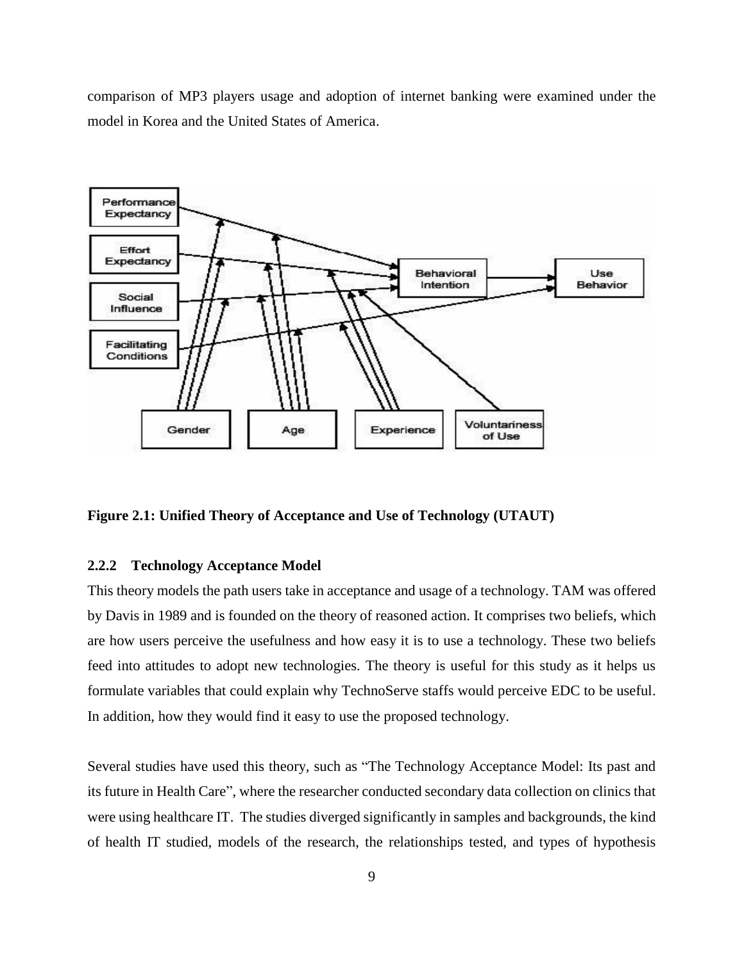comparison of MP3 players usage and adoption of internet banking were examined under the model in Korea and the United States of America.



<span id="page-19-1"></span>**Figure 2.1: Unified Theory of Acceptance and Use of Technology (UTAUT)**

#### <span id="page-19-0"></span>**2.2.2 Technology Acceptance Model**

This theory models the path users take in acceptance and usage of a technology. TAM was offered by Davis in 1989 and is founded on the theory of reasoned action. It comprises two beliefs, which are how users perceive the usefulness and how easy it is to use a technology. These two beliefs feed into attitudes to adopt new technologies. The theory is useful for this study as it helps us formulate variables that could explain why TechnoServe staffs would perceive EDC to be useful. In addition, how they would find it easy to use the proposed technology.

Several studies have used this theory, such as "The Technology Acceptance Model: Its past and its future in Health Care", where the researcher conducted secondary data collection on clinics that were using healthcare IT. The studies diverged significantly in samples and backgrounds, the kind of health IT studied, models of the research, the relationships tested, and types of hypothesis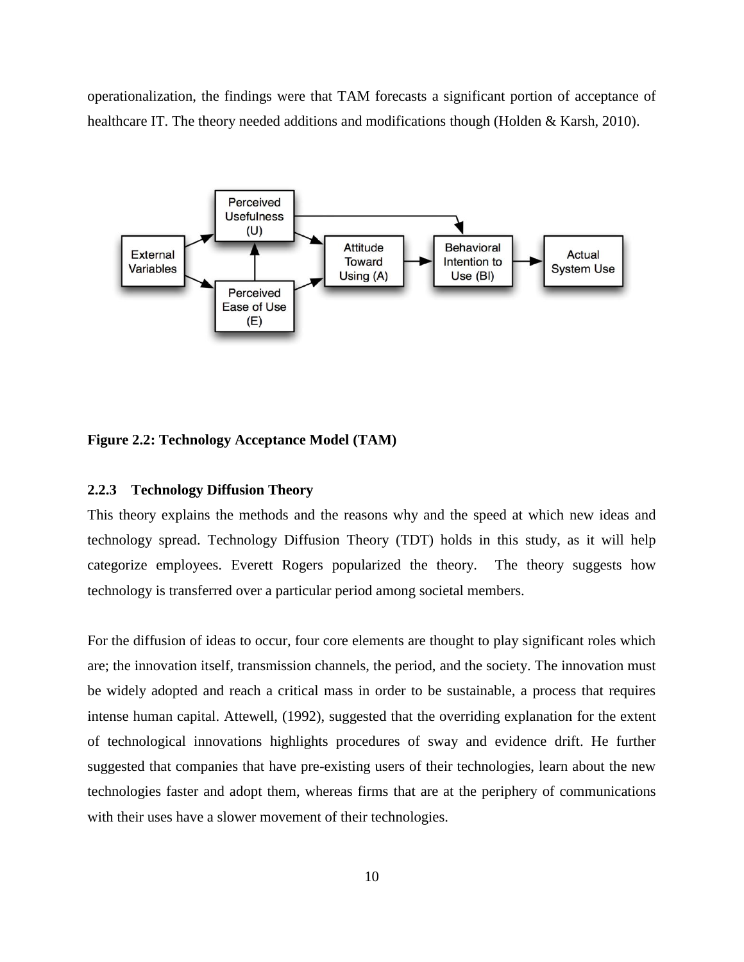operationalization, the findings were that TAM forecasts a significant portion of acceptance of healthcare IT. The theory needed additions and modifications though (Holden & Karsh, 2010).



<span id="page-20-1"></span>**Figure 2.2: Technology Acceptance Model (TAM)**

#### <span id="page-20-0"></span>**2.2.3 Technology Diffusion Theory**

This theory explains the methods and the reasons why and the speed at which new ideas and technology spread. Technology Diffusion Theory (TDT) holds in this study, as it will help categorize employees. Everett Rogers popularized the theory. The theory suggests how technology is transferred over a particular period among societal members.

For the diffusion of ideas to occur, four core elements are thought to play significant roles which are; the innovation itself, transmission channels, the period, and the society. The innovation must be widely adopted and reach a critical mass in order to be sustainable, a process that requires intense human capital. Attewell, (1992), suggested that the overriding explanation for the extent of technological innovations highlights procedures of sway and evidence drift. He further suggested that companies that have pre-existing users of their technologies, learn about the new technologies faster and adopt them, whereas firms that are at the periphery of communications with their uses have a slower movement of their technologies.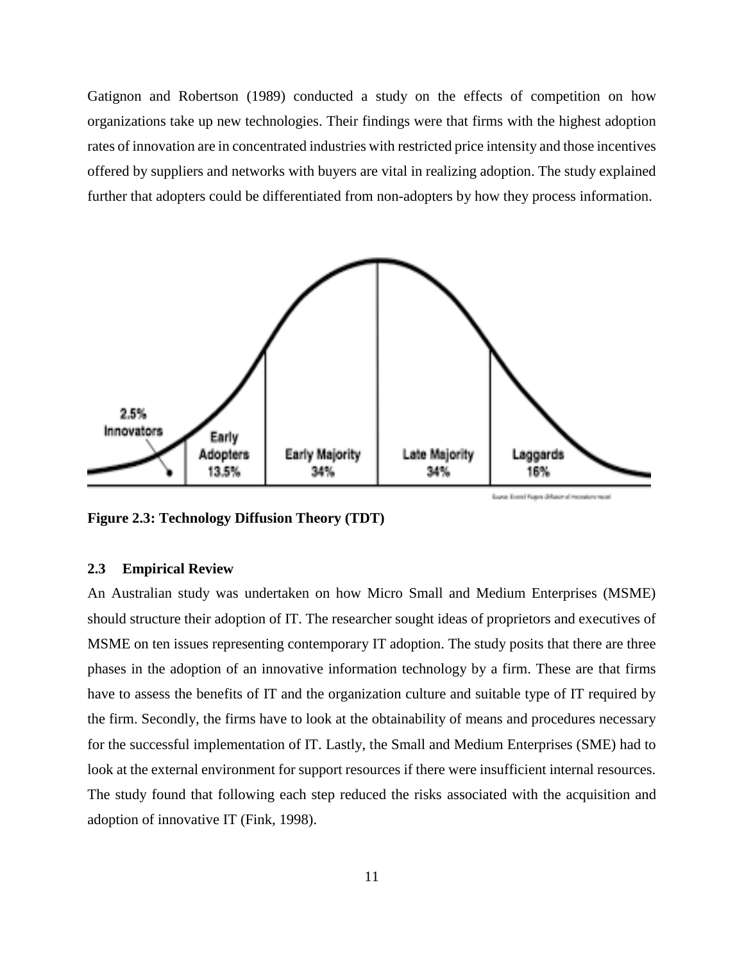Gatignon and Robertson (1989) conducted a study on the effects of competition on how organizations take up new technologies. Their findings were that firms with the highest adoption rates of innovation are in concentrated industries with restricted price intensity and those incentives offered by suppliers and networks with buyers are vital in realizing adoption. The study explained further that adopters could be differentiated from non-adopters by how they process information.

<span id="page-21-1"></span>

**Figure 2.3: Technology Diffusion Theory (TDT)**

#### <span id="page-21-0"></span>**2.3 Empirical Review**

An Australian study was undertaken on how Micro Small and Medium Enterprises (MSME) should structure their adoption of IT. The researcher sought ideas of proprietors and executives of MSME on ten issues representing contemporary IT adoption. The study posits that there are three phases in the adoption of an innovative information technology by a firm. These are that firms have to assess the benefits of IT and the organization culture and suitable type of IT required by the firm. Secondly, the firms have to look at the obtainability of means and procedures necessary for the successful implementation of IT. Lastly, the Small and Medium Enterprises (SME) had to look at the external environment for support resources if there were insufficient internal resources. The study found that following each step reduced the risks associated with the acquisition and adoption of innovative IT (Fink, 1998).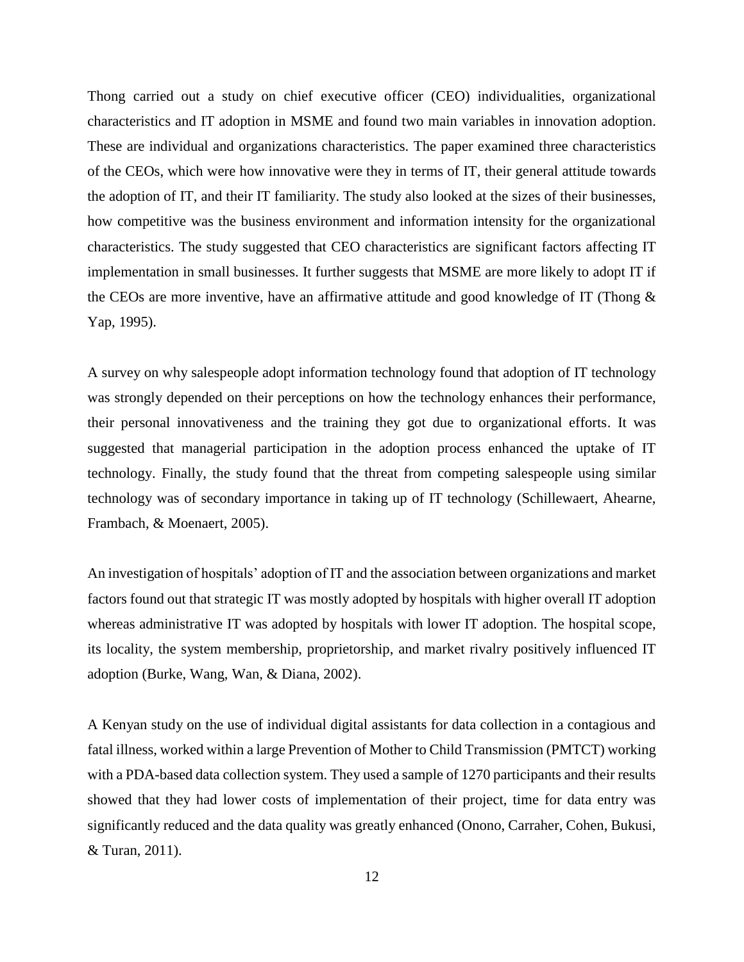Thong carried out a study on chief executive officer (CEO) individualities, organizational characteristics and IT adoption in MSME and found two main variables in innovation adoption. These are individual and organizations characteristics. The paper examined three characteristics of the CEOs, which were how innovative were they in terms of IT, their general attitude towards the adoption of IT, and their IT familiarity. The study also looked at the sizes of their businesses, how competitive was the business environment and information intensity for the organizational characteristics. The study suggested that CEO characteristics are significant factors affecting IT implementation in small businesses. It further suggests that MSME are more likely to adopt IT if the CEOs are more inventive, have an affirmative attitude and good knowledge of IT (Thong & Yap, 1995).

A survey on why salespeople adopt information technology found that adoption of IT technology was strongly depended on their perceptions on how the technology enhances their performance, their personal innovativeness and the training they got due to organizational efforts. It was suggested that managerial participation in the adoption process enhanced the uptake of IT technology. Finally, the study found that the threat from competing salespeople using similar technology was of secondary importance in taking up of IT technology (Schillewaert, Ahearne, Frambach, & Moenaert, 2005).

An investigation of hospitals' adoption of IT and the association between organizations and market factors found out that strategic IT was mostly adopted by hospitals with higher overall IT adoption whereas administrative IT was adopted by hospitals with lower IT adoption. The hospital scope, its locality, the system membership, proprietorship, and market rivalry positively influenced IT adoption (Burke, Wang, Wan, & Diana, 2002).

A Kenyan study on the use of individual digital assistants for data collection in a contagious and fatal illness, worked within a large Prevention of Mother to Child Transmission (PMTCT) working with a PDA-based data collection system. They used a sample of 1270 participants and their results showed that they had lower costs of implementation of their project, time for data entry was significantly reduced and the data quality was greatly enhanced (Onono, Carraher, Cohen, Bukusi, & Turan, 2011).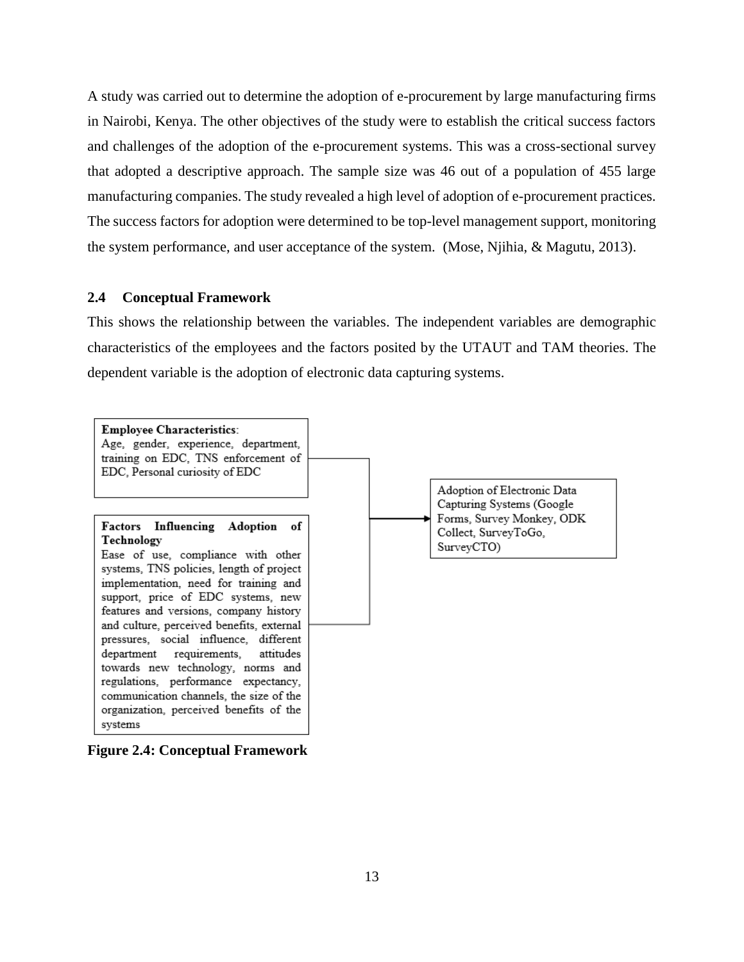A study was carried out to determine the adoption of e-procurement by large manufacturing firms in Nairobi, Kenya. The other objectives of the study were to establish the critical success factors and challenges of the adoption of the e-procurement systems. This was a cross-sectional survey that adopted a descriptive approach. The sample size was 46 out of a population of 455 large manufacturing companies. The study revealed a high level of adoption of e-procurement practices. The success factors for adoption were determined to be top-level management support, monitoring the system performance, and user acceptance of the system. (Mose, Njihia, & Magutu, 2013).

#### <span id="page-23-0"></span>**2.4 Conceptual Framework**

This shows the relationship between the variables. The independent variables are demographic characteristics of the employees and the factors posited by the UTAUT and TAM theories. The dependent variable is the adoption of electronic data capturing systems.

<span id="page-23-1"></span>

**Figure 2.4: Conceptual Framework**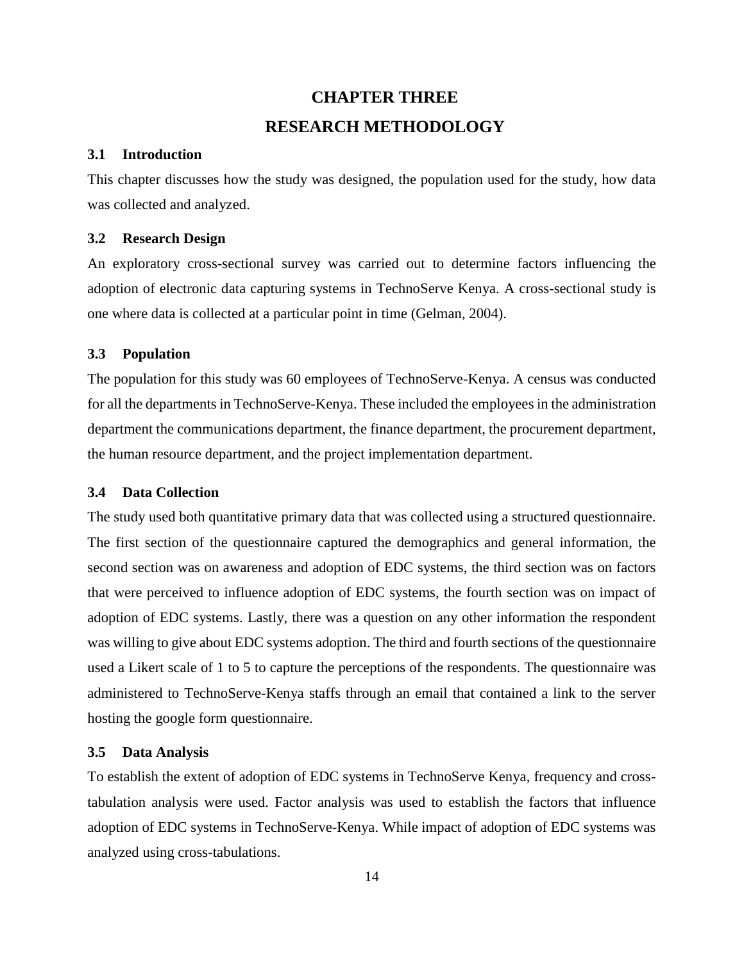## **CHAPTER THREE RESEARCH METHODOLOGY**

#### <span id="page-24-1"></span><span id="page-24-0"></span>**3.1 Introduction**

This chapter discusses how the study was designed, the population used for the study, how data was collected and analyzed.

#### <span id="page-24-2"></span>**3.2 Research Design**

An exploratory cross-sectional survey was carried out to determine factors influencing the adoption of electronic data capturing systems in TechnoServe Kenya. A cross-sectional study is one where data is collected at a particular point in time (Gelman, 2004).

#### <span id="page-24-3"></span>**3.3 Population**

The population for this study was 60 employees of TechnoServe-Kenya. A census was conducted for all the departments in TechnoServe-Kenya. These included the employees in the administration department the communications department, the finance department, the procurement department, the human resource department, and the project implementation department.

#### <span id="page-24-4"></span>**3.4 Data Collection**

The study used both quantitative primary data that was collected using a structured questionnaire. The first section of the questionnaire captured the demographics and general information, the second section was on awareness and adoption of EDC systems, the third section was on factors that were perceived to influence adoption of EDC systems, the fourth section was on impact of adoption of EDC systems. Lastly, there was a question on any other information the respondent was willing to give about EDC systems adoption. The third and fourth sections of the questionnaire used a Likert scale of 1 to 5 to capture the perceptions of the respondents. The questionnaire was administered to TechnoServe-Kenya staffs through an email that contained a link to the server hosting the google form questionnaire.

#### <span id="page-24-5"></span>**3.5 Data Analysis**

To establish the extent of adoption of EDC systems in TechnoServe Kenya, frequency and crosstabulation analysis were used. Factor analysis was used to establish the factors that influence adoption of EDC systems in TechnoServe-Kenya. While impact of adoption of EDC systems was analyzed using cross-tabulations.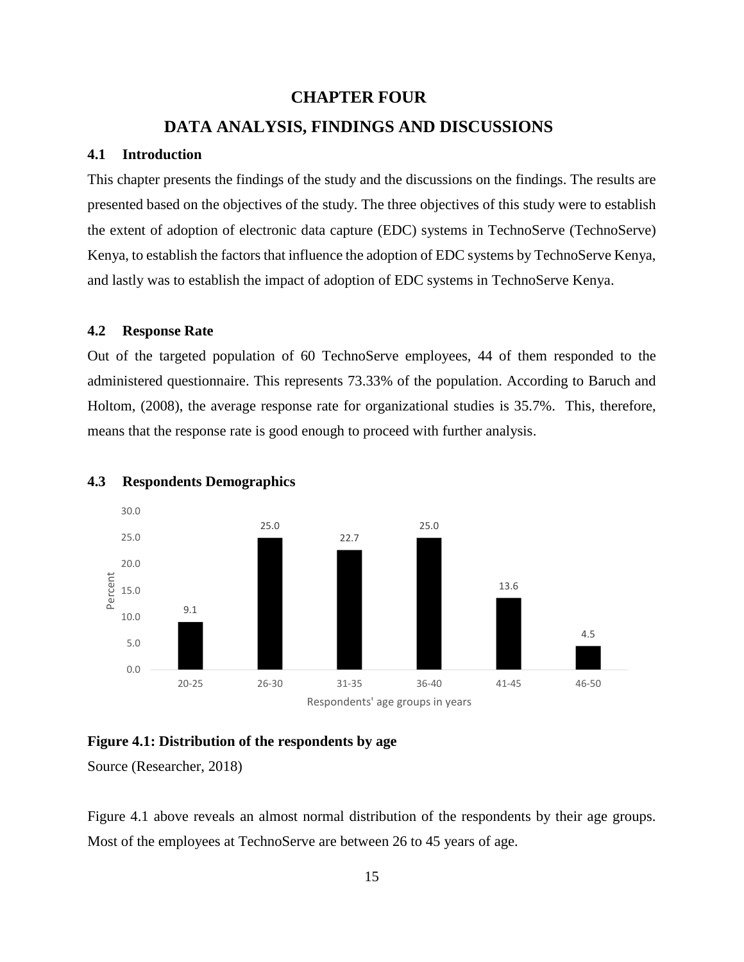### **CHAPTER FOUR**

### **DATA ANALYSIS, FINDINGS AND DISCUSSIONS**

#### <span id="page-25-1"></span><span id="page-25-0"></span>**4.1 Introduction**

This chapter presents the findings of the study and the discussions on the findings. The results are presented based on the objectives of the study. The three objectives of this study were to establish the extent of adoption of electronic data capture (EDC) systems in TechnoServe (TechnoServe) Kenya, to establish the factors that influence the adoption of EDC systems by TechnoServe Kenya, and lastly was to establish the impact of adoption of EDC systems in TechnoServe Kenya.

#### <span id="page-25-2"></span>**4.2 Response Rate**

Out of the targeted population of 60 TechnoServe employees, 44 of them responded to the administered questionnaire. This represents 73.33% of the population. According to Baruch and Holtom, (2008), the average response rate for organizational studies is 35.7%. This, therefore, means that the response rate is good enough to proceed with further analysis.



#### <span id="page-25-3"></span>**4.3 Respondents Demographics**

#### <span id="page-25-4"></span>**Figure 4.1: Distribution of the respondents by age**

Source (Researcher, 2018)

Figure 4.1 above reveals an almost normal distribution of the respondents by their age groups. Most of the employees at TechnoServe are between 26 to 45 years of age.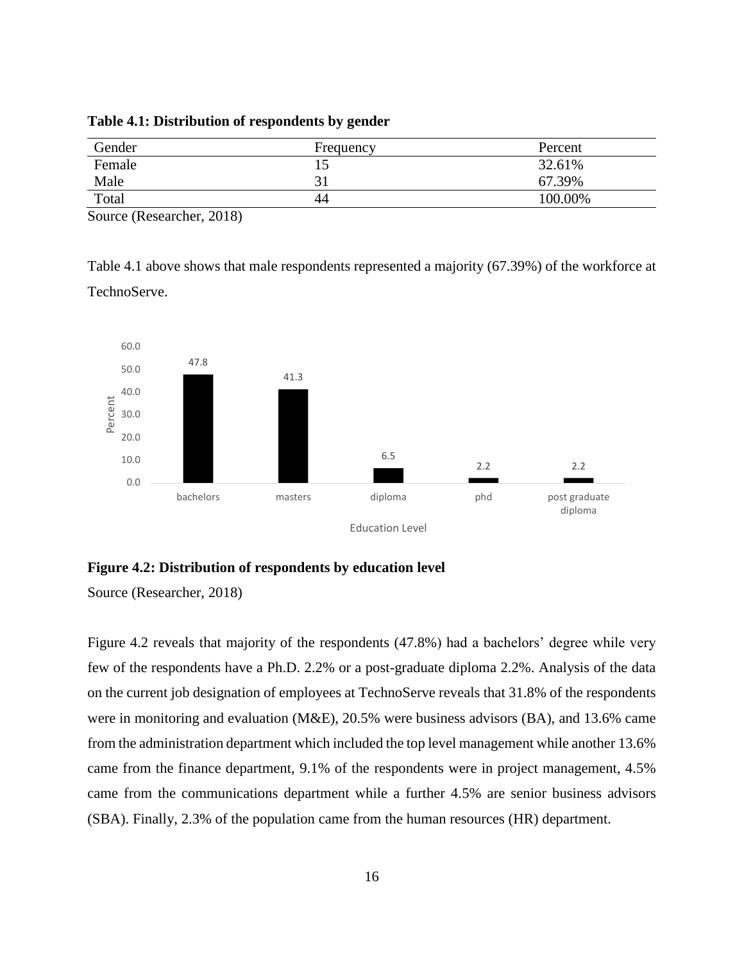<span id="page-26-0"></span>**Table 4.1: Distribution of respondents by gender**

| Gender | Frequency | Percent |
|--------|-----------|---------|
| Female | ⊥J        | 32.61%  |
| Male   |           | 67.39%  |
| Total  | 44        | 100.00% |

Source (Researcher, 2018)

Table 4.1 above shows that male respondents represented a majority (67.39%) of the workforce at TechnoServe.



#### <span id="page-26-1"></span>**Figure 4.2: Distribution of respondents by education level**

Source (Researcher, 2018)

Figure 4.2 reveals that majority of the respondents (47.8%) had a bachelors' degree while very few of the respondents have a Ph.D. 2.2% or a post-graduate diploma 2.2%. Analysis of the data on the current job designation of employees at TechnoServe reveals that 31.8% of the respondents were in monitoring and evaluation (M&E), 20.5% were business advisors (BA), and 13.6% came from the administration department which included the top level management while another 13.6% came from the finance department, 9.1% of the respondents were in project management, 4.5% came from the communications department while a further 4.5% are senior business advisors (SBA). Finally, 2.3% of the population came from the human resources (HR) department.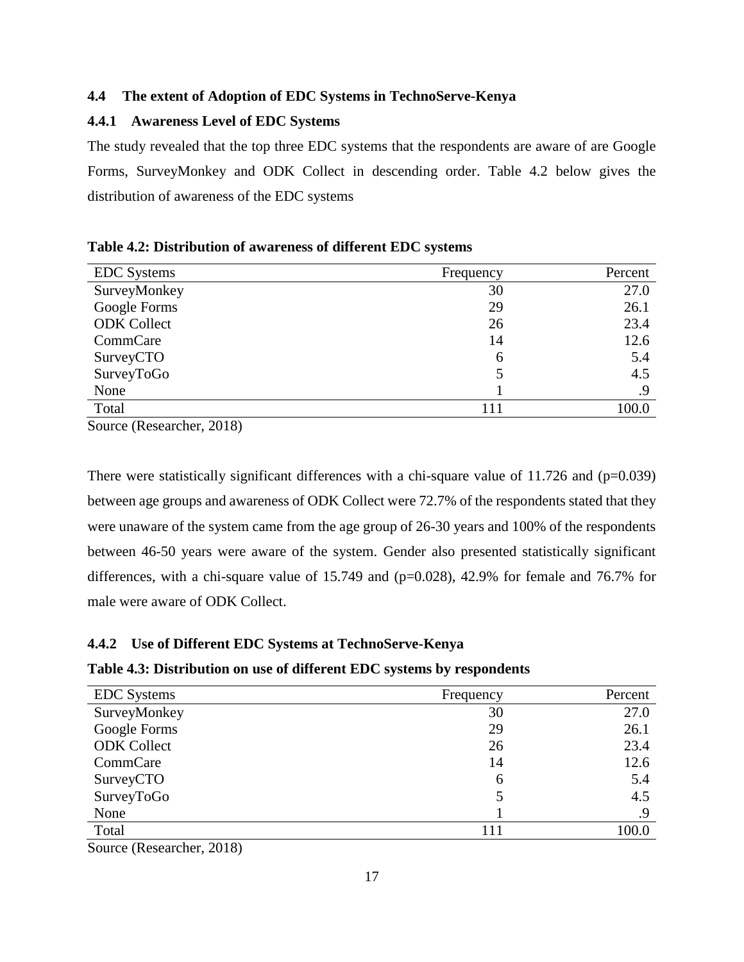#### <span id="page-27-0"></span>**4.4 The extent of Adoption of EDC Systems in TechnoServe-Kenya**

### <span id="page-27-1"></span>**4.4.1 Awareness Level of EDC Systems**

The study revealed that the top three EDC systems that the respondents are aware of are Google Forms, SurveyMonkey and ODK Collect in descending order. Table 4.2 below gives the distribution of awareness of the EDC systems

<span id="page-27-3"></span>

| Table 4.2: Distribution of awareness of different EDC systems |
|---------------------------------------------------------------|
|---------------------------------------------------------------|

| <b>EDC</b> Systems | Frequency | Percent |
|--------------------|-----------|---------|
| SurveyMonkey       | 30        | 27.0    |
| Google Forms       | 29        | 26.1    |
| <b>ODK</b> Collect | 26        | 23.4    |
| CommCare           | 14        | 12.6    |
| SurveyCTO          | 6         | 5.4     |
| SurveyToGo         |           | 4.5     |
| None               |           | .9      |
| Total              |           | 100.0   |

Source (Researcher, 2018)

There were statistically significant differences with a chi-square value of  $11.726$  and ( $p=0.039$ ) between age groups and awareness of ODK Collect were 72.7% of the respondents stated that they were unaware of the system came from the age group of 26-30 years and 100% of the respondents between 46-50 years were aware of the system. Gender also presented statistically significant differences, with a chi-square value of  $15.749$  and ( $p=0.028$ ), 42.9% for female and 76.7% for male were aware of ODK Collect.

#### <span id="page-27-2"></span>**4.4.2 Use of Different EDC Systems at TechnoServe-Kenya**

#### <span id="page-27-4"></span>**Table 4.3: Distribution on use of different EDC systems by respondents**

| <b>EDC</b> Systems | Frequency | Percent |
|--------------------|-----------|---------|
| SurveyMonkey       | 30        | 27.0    |
| Google Forms       | 29        | 26.1    |
| <b>ODK</b> Collect | 26        | 23.4    |
| CommCare           | 14        | 12.6    |
| SurveyCTO          | 6         | 5.4     |
| SurveyToGo         |           | 4.5     |
| None               |           | .9      |
| Total              |           | 100.0   |

Source (Researcher, 2018)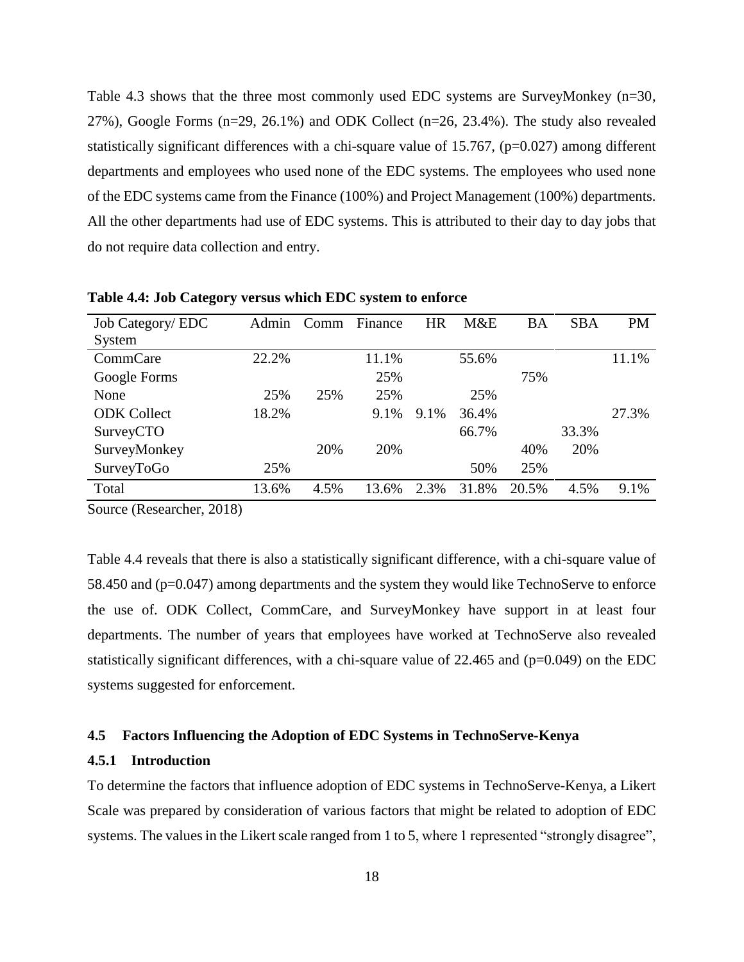Table 4.3 shows that the three most commonly used EDC systems are SurveyMonkey (n=30,  $27\%$ ), Google Forms (n=29, 26.1%) and ODK Collect (n=26, 23.4%). The study also revealed statistically significant differences with a chi-square value of 15.767,  $(p=0.027)$  among different departments and employees who used none of the EDC systems. The employees who used none of the EDC systems came from the Finance (100%) and Project Management (100%) departments. All the other departments had use of EDC systems. This is attributed to their day to day jobs that do not require data collection and entry.

| <b>Job Category/ EDC</b> | Admin | Comm | Finance | <b>HR</b> | M&E   | BA    | <b>SBA</b> | <b>PM</b> |
|--------------------------|-------|------|---------|-----------|-------|-------|------------|-----------|
| System                   |       |      |         |           |       |       |            |           |
| CommCare                 | 22.2% |      | 11.1%   |           | 55.6% |       |            | 11.1%     |
| Google Forms             |       |      | 25%     |           |       | 75%   |            |           |
| None                     | 25%   | 25%  | 25%     |           | 25%   |       |            |           |
| <b>ODK</b> Collect       | 18.2% |      | 9.1%    | 9.1%      | 36.4% |       |            | 27.3%     |
| SurveyCTO                |       |      |         |           | 66.7% |       | 33.3%      |           |
| SurveyMonkey             |       | 20%  | 20%     |           |       | 40%   | 20%        |           |
| SurveyToGo               | 25%   |      |         |           | 50%   | 25%   |            |           |
| Total                    | 13.6% | 4.5% | 13.6%   | 2.3%      | 31.8% | 20.5% | 4.5%       | 9.1%      |

<span id="page-28-2"></span>**Table 4.4: Job Category versus which EDC system to enforce**

Source (Researcher, 2018)

Table 4.4 reveals that there is also a statistically significant difference, with a chi-square value of 58.450 and (p=0.047) among departments and the system they would like TechnoServe to enforce the use of. ODK Collect, CommCare, and SurveyMonkey have support in at least four departments. The number of years that employees have worked at TechnoServe also revealed statistically significant differences, with a chi-square value of  $22.465$  and ( $p=0.049$ ) on the EDC systems suggested for enforcement.

#### <span id="page-28-0"></span>**4.5 Factors Influencing the Adoption of EDC Systems in TechnoServe-Kenya**

#### <span id="page-28-1"></span>**4.5.1 Introduction**

To determine the factors that influence adoption of EDC systems in TechnoServe-Kenya, a Likert Scale was prepared by consideration of various factors that might be related to adoption of EDC systems. The values in the Likert scale ranged from 1 to 5, where 1 represented "strongly disagree",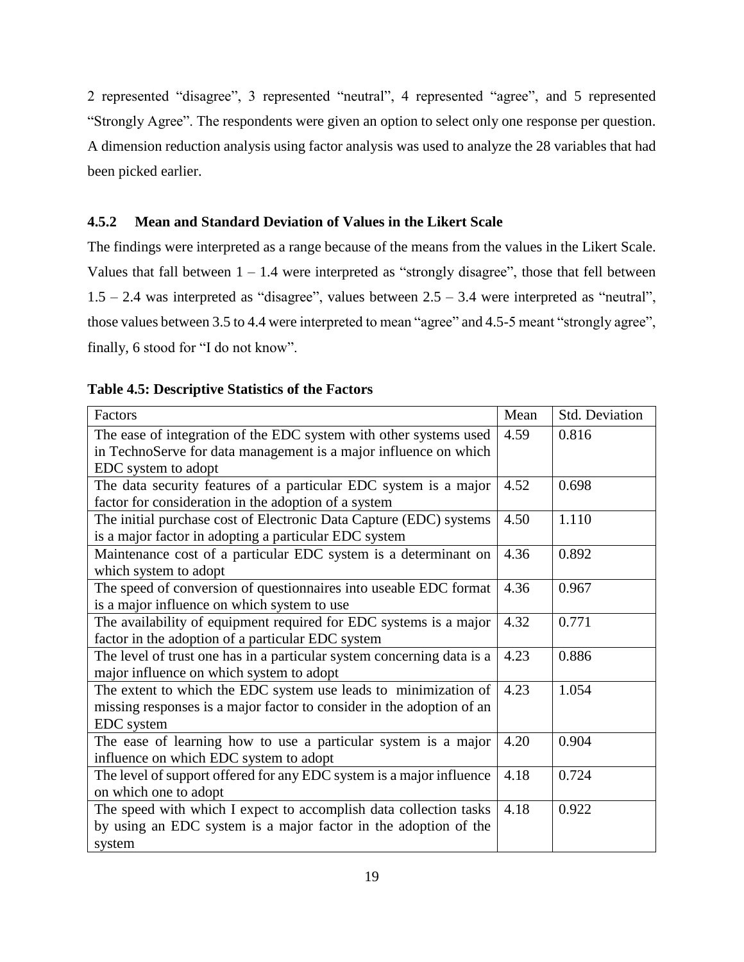2 represented "disagree", 3 represented "neutral", 4 represented "agree", and 5 represented "Strongly Agree". The respondents were given an option to select only one response per question. A dimension reduction analysis using factor analysis was used to analyze the 28 variables that had been picked earlier.

### <span id="page-29-0"></span>**4.5.2 Mean and Standard Deviation of Values in the Likert Scale**

The findings were interpreted as a range because of the means from the values in the Likert Scale. Values that fall between  $1 - 1.4$  were interpreted as "strongly disagree", those that fell between  $1.5 - 2.4$  was interpreted as "disagree", values between  $2.5 - 3.4$  were interpreted as "neutral", those values between 3.5 to 4.4 were interpreted to mean "agree" and 4.5-5 meant "strongly agree", finally, 6 stood for "I do not know".

| Factors                                                                | Mean | <b>Std. Deviation</b> |
|------------------------------------------------------------------------|------|-----------------------|
|                                                                        |      |                       |
| The ease of integration of the EDC system with other systems used      | 4.59 | 0.816                 |
| in TechnoServe for data management is a major influence on which       |      |                       |
| EDC system to adopt                                                    |      |                       |
| The data security features of a particular EDC system is a major       | 4.52 | 0.698                 |
| factor for consideration in the adoption of a system                   |      |                       |
| The initial purchase cost of Electronic Data Capture (EDC) systems     | 4.50 | 1.110                 |
| is a major factor in adopting a particular EDC system                  |      |                       |
| Maintenance cost of a particular EDC system is a determinant on        | 4.36 | 0.892                 |
| which system to adopt                                                  |      |                       |
| The speed of conversion of questionnaires into useable EDC format      | 4.36 | 0.967                 |
| is a major influence on which system to use                            |      |                       |
| The availability of equipment required for EDC systems is a major      | 4.32 | 0.771                 |
| factor in the adoption of a particular EDC system                      |      |                       |
| The level of trust one has in a particular system concerning data is a | 4.23 | 0.886                 |
| major influence on which system to adopt                               |      |                       |
| The extent to which the EDC system use leads to minimization of        | 4.23 | 1.054                 |
| missing responses is a major factor to consider in the adoption of an  |      |                       |
| EDC system                                                             |      |                       |
| The ease of learning how to use a particular system is a major         | 4.20 | 0.904                 |
| influence on which EDC system to adopt                                 |      |                       |
| The level of support offered for any EDC system is a major influence   | 4.18 | 0.724                 |
| on which one to adopt                                                  |      |                       |
| The speed with which I expect to accomplish data collection tasks      | 4.18 | 0.922                 |
| by using an EDC system is a major factor in the adoption of the        |      |                       |
| system                                                                 |      |                       |

#### <span id="page-29-1"></span>**Table 4.5: Descriptive Statistics of the Factors**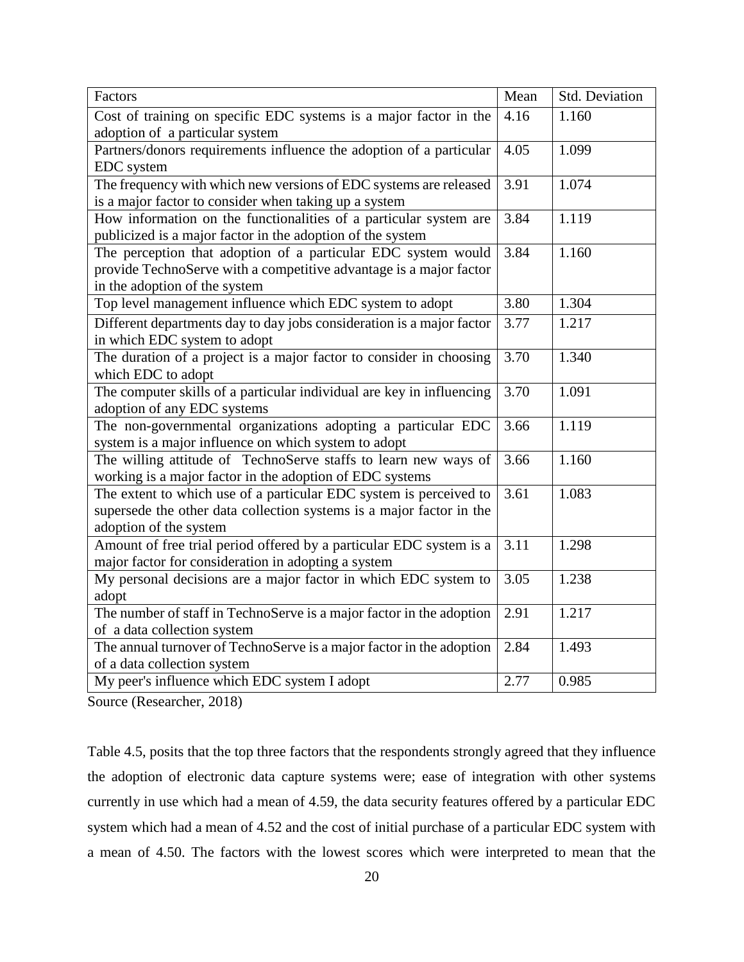| Factors                                                               | Mean | Std. Deviation |
|-----------------------------------------------------------------------|------|----------------|
| Cost of training on specific EDC systems is a major factor in the     | 4.16 | 1.160          |
| adoption of a particular system                                       |      |                |
| Partners/donors requirements influence the adoption of a particular   | 4.05 | 1.099          |
| EDC system                                                            |      |                |
| The frequency with which new versions of EDC systems are released     | 3.91 | 1.074          |
| is a major factor to consider when taking up a system                 |      |                |
| How information on the functionalities of a particular system are     | 3.84 | 1.119          |
| publicized is a major factor in the adoption of the system            |      |                |
| The perception that adoption of a particular EDC system would         | 3.84 | 1.160          |
| provide TechnoServe with a competitive advantage is a major factor    |      |                |
| in the adoption of the system                                         |      |                |
| Top level management influence which EDC system to adopt              | 3.80 | 1.304          |
| Different departments day to day jobs consideration is a major factor | 3.77 | 1.217          |
| in which EDC system to adopt                                          |      |                |
| The duration of a project is a major factor to consider in choosing   | 3.70 | 1.340          |
| which EDC to adopt                                                    |      |                |
| The computer skills of a particular individual are key in influencing | 3.70 | 1.091          |
| adoption of any EDC systems                                           |      |                |
| The non-governmental organizations adopting a particular EDC          | 3.66 | 1.119          |
| system is a major influence on which system to adopt                  |      |                |
| The willing attitude of TechnoServe staffs to learn new ways of       | 3.66 | 1.160          |
| working is a major factor in the adoption of EDC systems              |      |                |
| The extent to which use of a particular EDC system is perceived to    | 3.61 | 1.083          |
| supersede the other data collection systems is a major factor in the  |      |                |
| adoption of the system                                                |      |                |
| Amount of free trial period offered by a particular EDC system is a   | 3.11 | 1.298          |
| major factor for consideration in adopting a system                   |      |                |
| My personal decisions are a major factor in which EDC system to       | 3.05 | 1.238          |
| adopt                                                                 |      |                |
| The number of staff in TechnoServe is a major factor in the adoption  | 2.91 | 1.217          |
| of a data collection system                                           |      |                |
| The annual turnover of TechnoServe is a major factor in the adoption  | 2.84 | 1.493          |
| of a data collection system                                           |      |                |
| My peer's influence which EDC system I adopt                          | 2.77 | 0.985          |

Source (Researcher, 2018)

Table 4.5, posits that the top three factors that the respondents strongly agreed that they influence the adoption of electronic data capture systems were; ease of integration with other systems currently in use which had a mean of 4.59, the data security features offered by a particular EDC system which had a mean of 4.52 and the cost of initial purchase of a particular EDC system with a mean of 4.50. The factors with the lowest scores which were interpreted to mean that the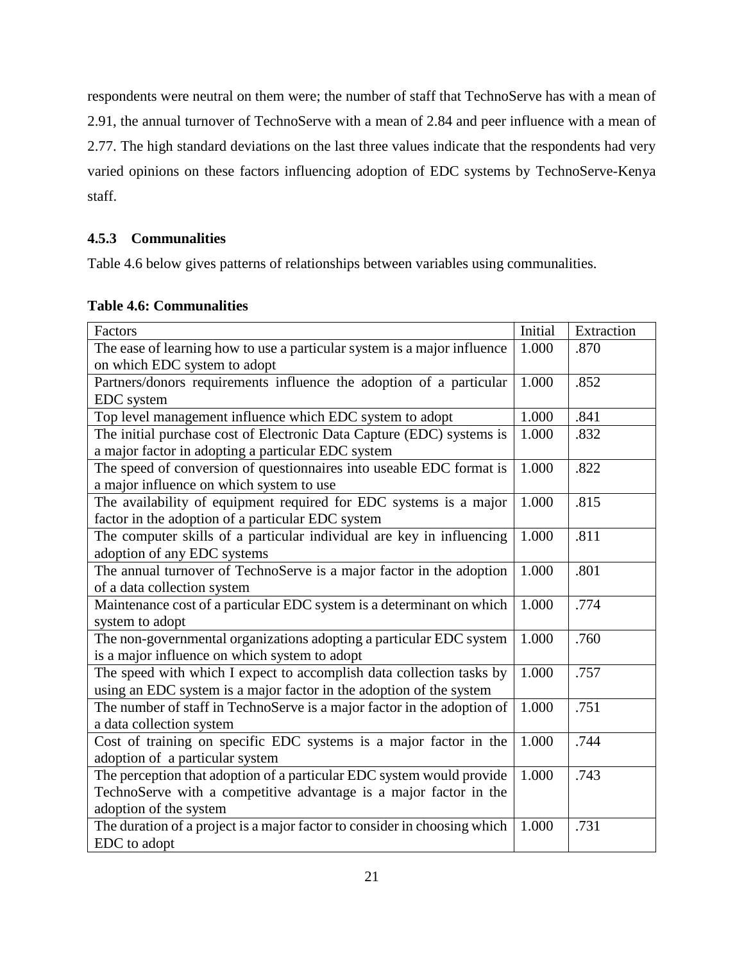respondents were neutral on them were; the number of staff that TechnoServe has with a mean of 2.91, the annual turnover of TechnoServe with a mean of 2.84 and peer influence with a mean of 2.77. The high standard deviations on the last three values indicate that the respondents had very varied opinions on these factors influencing adoption of EDC systems by TechnoServe-Kenya staff.

### <span id="page-31-0"></span>**4.5.3 Communalities**

Table 4.6 below gives patterns of relationships between variables using communalities.

<span id="page-31-1"></span>

|  | <b>Table 4.6: Communalities</b> |  |
|--|---------------------------------|--|
|--|---------------------------------|--|

| Factors                                                                   | Initial            | Extraction |
|---------------------------------------------------------------------------|--------------------|------------|
| The ease of learning how to use a particular system is a major influence  | 1.000              | .870       |
| on which EDC system to adopt                                              |                    |            |
| Partners/donors requirements influence the adoption of a particular       | 1.000              | .852       |
| EDC system                                                                |                    |            |
| Top level management influence which EDC system to adopt                  | 1.000              | .841       |
| The initial purchase cost of Electronic Data Capture (EDC) systems is     | 1.000              | .832       |
| a major factor in adopting a particular EDC system                        |                    |            |
| The speed of conversion of questionnaires into useable EDC format is      | 1.000              | .822       |
| a major influence on which system to use                                  |                    |            |
| The availability of equipment required for EDC systems is a major         | 1.000              | .815       |
| factor in the adoption of a particular EDC system                         |                    |            |
| The computer skills of a particular individual are key in influencing     | $\overline{1.000}$ | .811       |
| adoption of any EDC systems                                               |                    |            |
| The annual turnover of TechnoServe is a major factor in the adoption      | 1.000              | .801       |
| of a data collection system                                               |                    |            |
| Maintenance cost of a particular EDC system is a determinant on which     | 1.000              | .774       |
| system to adopt                                                           |                    |            |
| The non-governmental organizations adopting a particular EDC system       | 1.000              | .760       |
| is a major influence on which system to adopt                             |                    |            |
| The speed with which I expect to accomplish data collection tasks by      | 1.000              | .757       |
| using an EDC system is a major factor in the adoption of the system       |                    |            |
| The number of staff in TechnoServe is a major factor in the adoption of   | 1.000              | .751       |
| a data collection system                                                  |                    |            |
| Cost of training on specific EDC systems is a major factor in the         | 1.000              | .744       |
| adoption of a particular system                                           |                    |            |
| The perception that adoption of a particular EDC system would provide     | 1.000              | .743       |
| TechnoServe with a competitive advantage is a major factor in the         |                    |            |
| adoption of the system                                                    |                    |            |
| The duration of a project is a major factor to consider in choosing which | 1.000              | .731       |
| EDC to adopt                                                              |                    |            |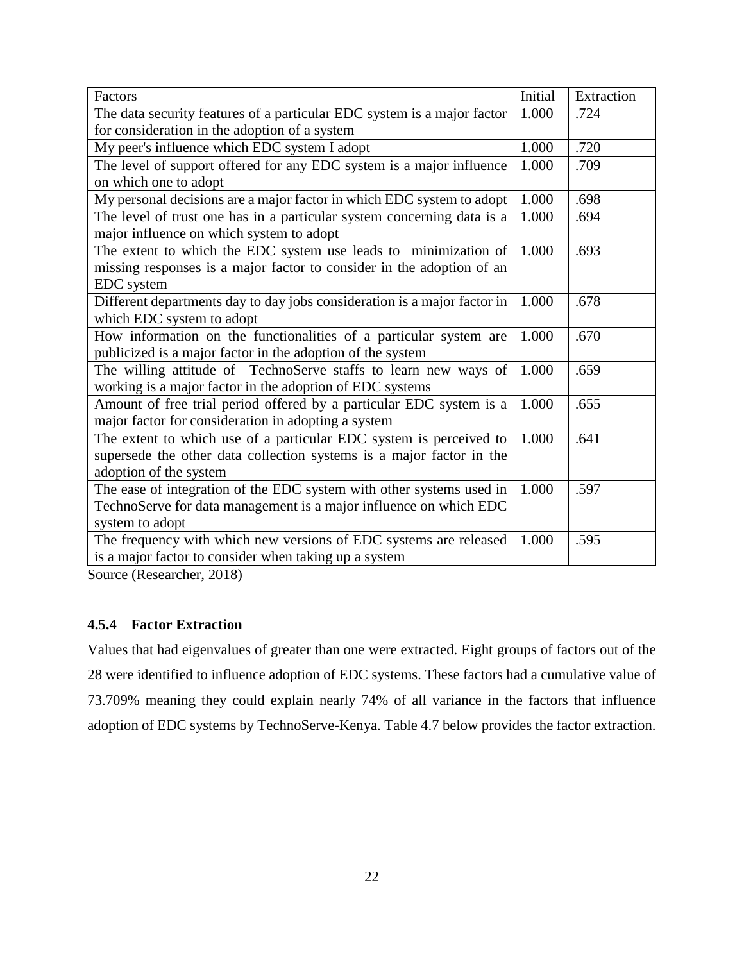| Factors                                                                  | Initial | Extraction |
|--------------------------------------------------------------------------|---------|------------|
| The data security features of a particular EDC system is a major factor  | 1.000   | .724       |
| for consideration in the adoption of a system                            |         |            |
| My peer's influence which EDC system I adopt                             | 1.000   | .720       |
| The level of support offered for any EDC system is a major influence     | 1.000   | .709       |
| on which one to adopt                                                    |         |            |
| My personal decisions are a major factor in which EDC system to adopt    | 1.000   | .698       |
| The level of trust one has in a particular system concerning data is a   | 1.000   | .694       |
| major influence on which system to adopt                                 |         |            |
| The extent to which the EDC system use leads to minimization of          | 1.000   | .693       |
| missing responses is a major factor to consider in the adoption of an    |         |            |
| EDC system                                                               |         |            |
| Different departments day to day jobs consideration is a major factor in | 1.000   | .678       |
| which EDC system to adopt                                                |         |            |
| How information on the functionalities of a particular system are        | 1.000   | .670       |
| publicized is a major factor in the adoption of the system               |         |            |
| The willing attitude of TechnoServe staffs to learn new ways of          | 1.000   | .659       |
| working is a major factor in the adoption of EDC systems                 |         |            |
| Amount of free trial period offered by a particular EDC system is a      | 1.000   | .655       |
| major factor for consideration in adopting a system                      |         |            |
| The extent to which use of a particular EDC system is perceived to       | 1.000   | .641       |
| supersede the other data collection systems is a major factor in the     |         |            |
| adoption of the system                                                   |         |            |
| The ease of integration of the EDC system with other systems used in     | 1.000   | .597       |
| TechnoServe for data management is a major influence on which EDC        |         |            |
| system to adopt                                                          |         |            |
| The frequency with which new versions of EDC systems are released        | 1.000   | .595       |
| is a major factor to consider when taking up a system                    |         |            |

Source (Researcher, 2018)

### <span id="page-32-0"></span>**4.5.4 Factor Extraction**

Values that had eigenvalues of greater than one were extracted. Eight groups of factors out of the 28 were identified to influence adoption of EDC systems. These factors had a cumulative value of 73.709% meaning they could explain nearly 74% of all variance in the factors that influence adoption of EDC systems by TechnoServe-Kenya. Table 4.7 below provides the factor extraction.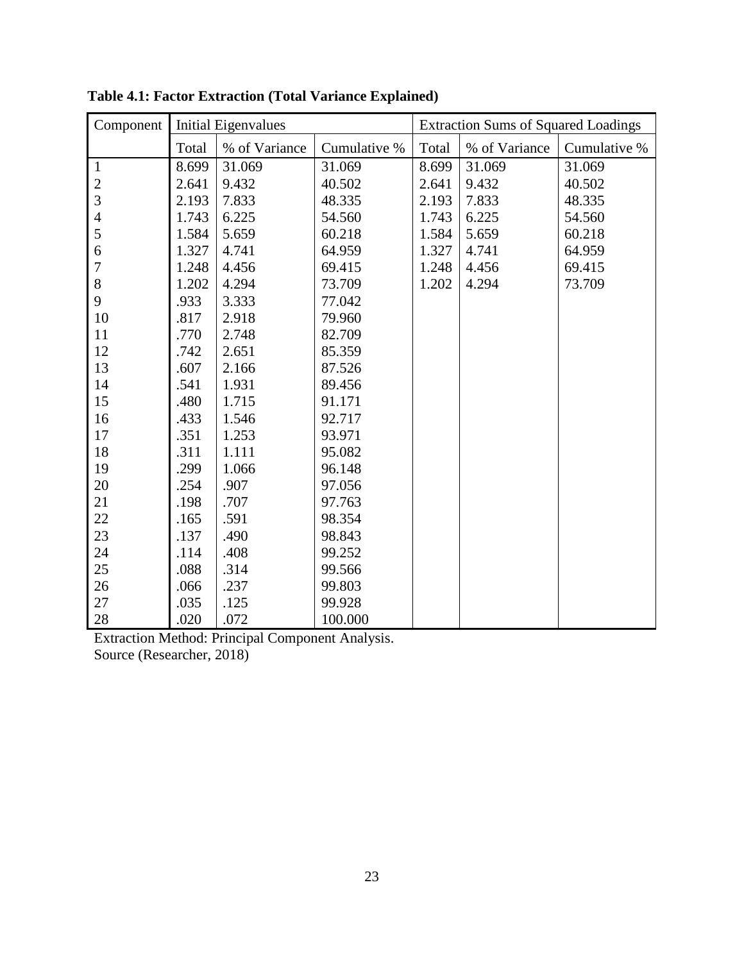| Component      | Initial Eigenvalues |               |              |       | <b>Extraction Sums of Squared Loadings</b> |              |
|----------------|---------------------|---------------|--------------|-------|--------------------------------------------|--------------|
|                | Total               | % of Variance | Cumulative % | Total | % of Variance                              | Cumulative % |
| $\mathbf{1}$   | 8.699               | 31.069        | 31.069       | 8.699 | 31.069                                     | 31.069       |
| $\sqrt{2}$     | 2.641               | 9.432         | 40.502       | 2.641 | 9.432                                      | 40.502       |
| 3              | 2.193               | 7.833         | 48.335       | 2.193 | 7.833                                      | 48.335       |
| $\overline{4}$ | 1.743               | 6.225         | 54.560       | 1.743 | 6.225                                      | 54.560       |
| 5              | 1.584               | 5.659         | 60.218       | 1.584 | 5.659                                      | 60.218       |
| 6              | 1.327               | 4.741         | 64.959       | 1.327 | 4.741                                      | 64.959       |
| $\tau$         | 1.248               | 4.456         | 69.415       | 1.248 | 4.456                                      | 69.415       |
| 8              | 1.202               | 4.294         | 73.709       | 1.202 | 4.294                                      | 73.709       |
| 9              | .933                | 3.333         | 77.042       |       |                                            |              |
| 10             | .817                | 2.918         | 79.960       |       |                                            |              |
| 11             | .770                | 2.748         | 82.709       |       |                                            |              |
| 12             | .742                | 2.651         | 85.359       |       |                                            |              |
| 13             | .607                | 2.166         | 87.526       |       |                                            |              |
| 14             | .541                | 1.931         | 89.456       |       |                                            |              |
| 15             | .480                | 1.715         | 91.171       |       |                                            |              |
| 16             | .433                | 1.546         | 92.717       |       |                                            |              |
| 17             | .351                | 1.253         | 93.971       |       |                                            |              |
| 18             | .311                | 1.111         | 95.082       |       |                                            |              |
| 19             | .299                | 1.066         | 96.148       |       |                                            |              |
| 20             | .254                | .907          | 97.056       |       |                                            |              |
| 21             | .198                | .707          | 97.763       |       |                                            |              |
| 22             | .165                | .591          | 98.354       |       |                                            |              |
| 23             | .137                | .490          | 98.843       |       |                                            |              |
| 24             | .114                | .408          | 99.252       |       |                                            |              |
| 25             | .088                | .314          | 99.566       |       |                                            |              |
| 26             | .066                | .237          | 99.803       |       |                                            |              |
| 27             | .035                | .125          | 99.928       |       |                                            |              |
| 28             | .020                | .072          | 100.000      |       |                                            |              |

**Table 4.1: Factor Extraction (Total Variance Explained)**

Extraction Method: Principal Component Analysis. Source (Researcher, 2018)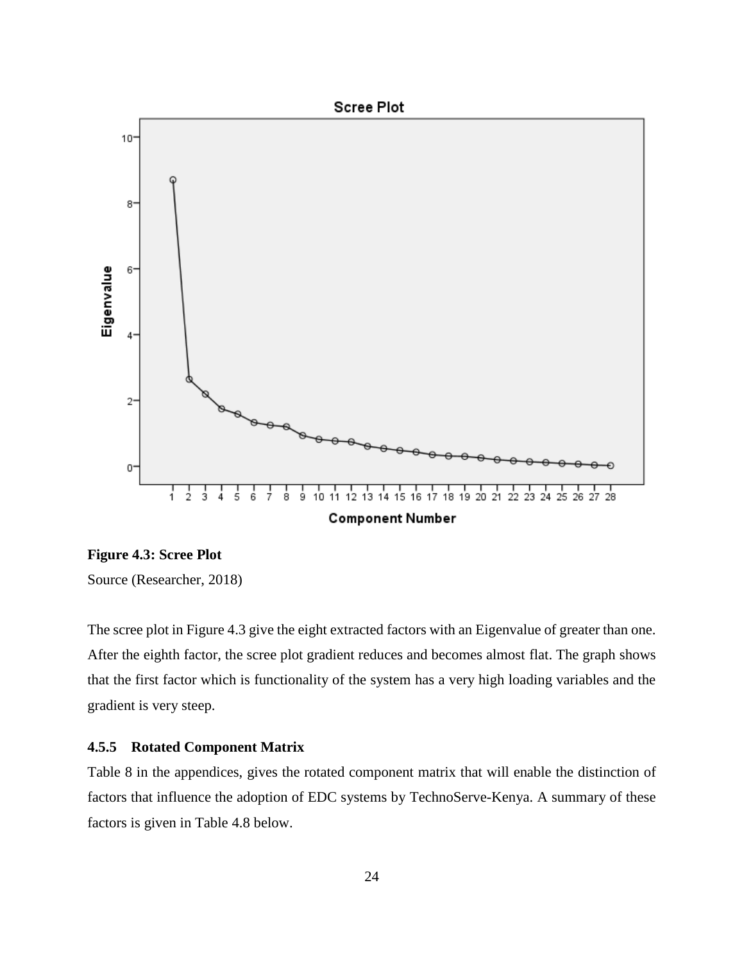

<span id="page-34-1"></span>**Figure 4.3: Scree Plot**

Source (Researcher, 2018)

The scree plot in Figure 4.3 give the eight extracted factors with an Eigenvalue of greater than one. After the eighth factor, the scree plot gradient reduces and becomes almost flat. The graph shows that the first factor which is functionality of the system has a very high loading variables and the gradient is very steep.

#### <span id="page-34-0"></span>**4.5.5 Rotated Component Matrix**

Table 8 in the appendices, gives the rotated component matrix that will enable the distinction of factors that influence the adoption of EDC systems by TechnoServe-Kenya. A summary of these factors is given in Table 4.8 below.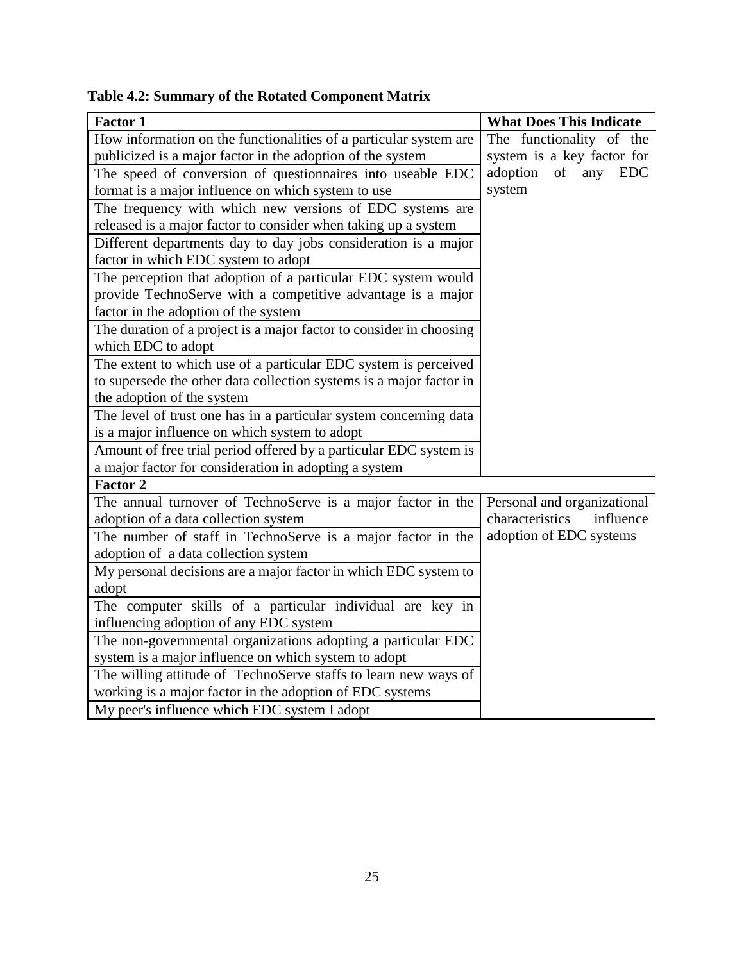**Table 4.2: Summary of the Rotated Component Matrix**

| <b>Factor 1</b>                                                     | <b>What Does This Indicate</b> |
|---------------------------------------------------------------------|--------------------------------|
| How information on the functionalities of a particular system are   | The functionality of the       |
| publicized is a major factor in the adoption of the system          | system is a key factor for     |
| The speed of conversion of questionnaires into useable EDC          | adoption of any<br><b>EDC</b>  |
| format is a major influence on which system to use                  | system                         |
| The frequency with which new versions of EDC systems are            |                                |
| released is a major factor to consider when taking up a system      |                                |
| Different departments day to day jobs consideration is a major      |                                |
| factor in which EDC system to adopt                                 |                                |
| The perception that adoption of a particular EDC system would       |                                |
| provide TechnoServe with a competitive advantage is a major         |                                |
| factor in the adoption of the system                                |                                |
| The duration of a project is a major factor to consider in choosing |                                |
| which EDC to adopt                                                  |                                |
| The extent to which use of a particular EDC system is perceived     |                                |
| to supersede the other data collection systems is a major factor in |                                |
| the adoption of the system                                          |                                |
| The level of trust one has in a particular system concerning data   |                                |
| is a major influence on which system to adopt                       |                                |
| Amount of free trial period offered by a particular EDC system is   |                                |
| a major factor for consideration in adopting a system               |                                |
| <b>Factor 2</b>                                                     |                                |
| The annual turnover of TechnoServe is a major factor in the         | Personal and organizational    |
| adoption of a data collection system                                | characteristics<br>influence   |
| The number of staff in TechnoServe is a major factor in the         | adoption of EDC systems        |
| adoption of a data collection system                                |                                |
| My personal decisions are a major factor in which EDC system to     |                                |
| adopt                                                               |                                |
| The computer skills of a particular individual are key in           |                                |
| influencing adoption of any EDC system                              |                                |
| The non-governmental organizations adopting a particular EDC        |                                |
| system is a major influence on which system to adopt                |                                |
| The willing attitude of TechnoServe staffs to learn new ways of     |                                |
| working is a major factor in the adoption of EDC systems            |                                |
| My peer's influence which EDC system I adopt                        |                                |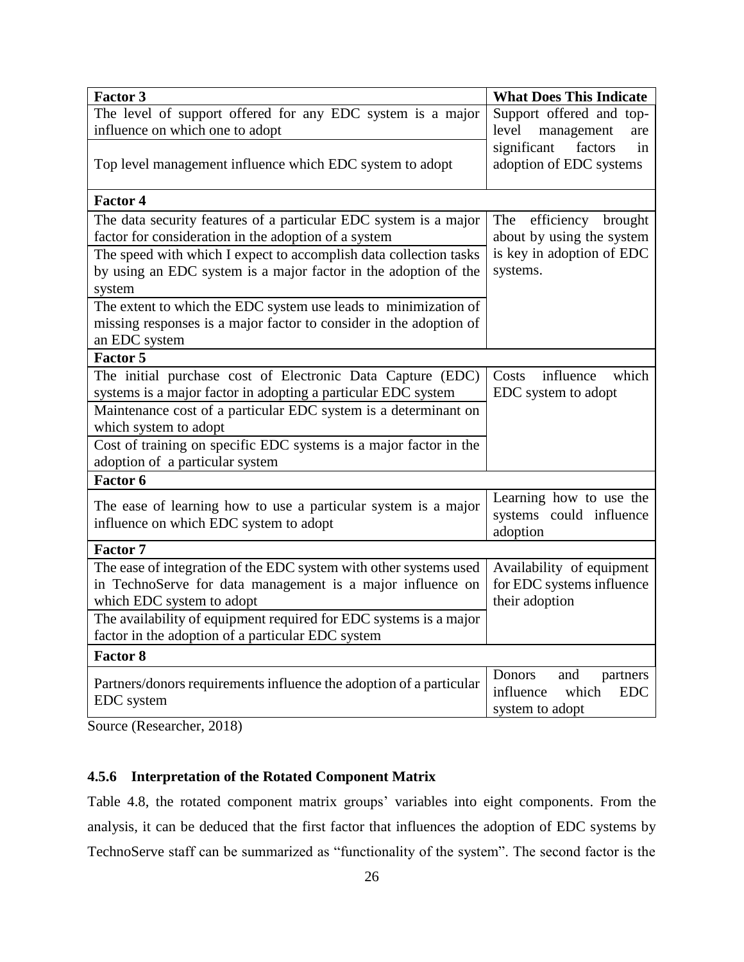| <b>Factor 3</b>                                                                                          | <b>What Does This Indicate</b>                                                   |
|----------------------------------------------------------------------------------------------------------|----------------------------------------------------------------------------------|
| The level of support offered for any EDC system is a major                                               | Support offered and top-                                                         |
| influence on which one to adopt                                                                          | level<br>management<br>are                                                       |
| Top level management influence which EDC system to adopt                                                 | significant<br>factors<br>in<br>adoption of EDC systems                          |
| <b>Factor 4</b>                                                                                          |                                                                                  |
| The data security features of a particular EDC system is a major                                         | efficiency brought<br>The                                                        |
| factor for consideration in the adoption of a system                                                     | about by using the system                                                        |
| The speed with which I expect to accomplish data collection tasks                                        | is key in adoption of EDC                                                        |
| by using an EDC system is a major factor in the adoption of the                                          | systems.                                                                         |
| system                                                                                                   |                                                                                  |
| The extent to which the EDC system use leads to minimization of                                          |                                                                                  |
| missing responses is a major factor to consider in the adoption of                                       |                                                                                  |
| an EDC system                                                                                            |                                                                                  |
| <b>Factor 5</b>                                                                                          |                                                                                  |
| The initial purchase cost of Electronic Data Capture (EDC)                                               | which<br>influence<br>Costs                                                      |
| systems is a major factor in adopting a particular EDC system                                            | EDC system to adopt                                                              |
| Maintenance cost of a particular EDC system is a determinant on                                          |                                                                                  |
| which system to adopt                                                                                    |                                                                                  |
| Cost of training on specific EDC systems is a major factor in the                                        |                                                                                  |
| adoption of a particular system                                                                          |                                                                                  |
| Factor 6                                                                                                 |                                                                                  |
| The ease of learning how to use a particular system is a major<br>influence on which EDC system to adopt | Learning how to use the<br>systems could influence<br>adoption                   |
| <b>Factor 7</b>                                                                                          |                                                                                  |
| The ease of integration of the EDC system with other systems used                                        | Availability of equipment                                                        |
| in TechnoServe for data management is a major influence on                                               | for EDC systems influence                                                        |
| which EDC system to adopt                                                                                | their adoption                                                                   |
| The availability of equipment required for EDC systems is a major                                        |                                                                                  |
| factor in the adoption of a particular EDC system                                                        |                                                                                  |
| <b>Factor 8</b>                                                                                          |                                                                                  |
| Partners/donors requirements influence the adoption of a particular<br><b>EDC</b> system                 | Donors<br>and<br>partners<br>influence<br>which<br><b>EDC</b><br>system to adopt |

Source (Researcher, 2018)

### <span id="page-36-0"></span>**4.5.6 Interpretation of the Rotated Component Matrix**

Table 4.8, the rotated component matrix groups' variables into eight components. From the analysis, it can be deduced that the first factor that influences the adoption of EDC systems by TechnoServe staff can be summarized as "functionality of the system". The second factor is the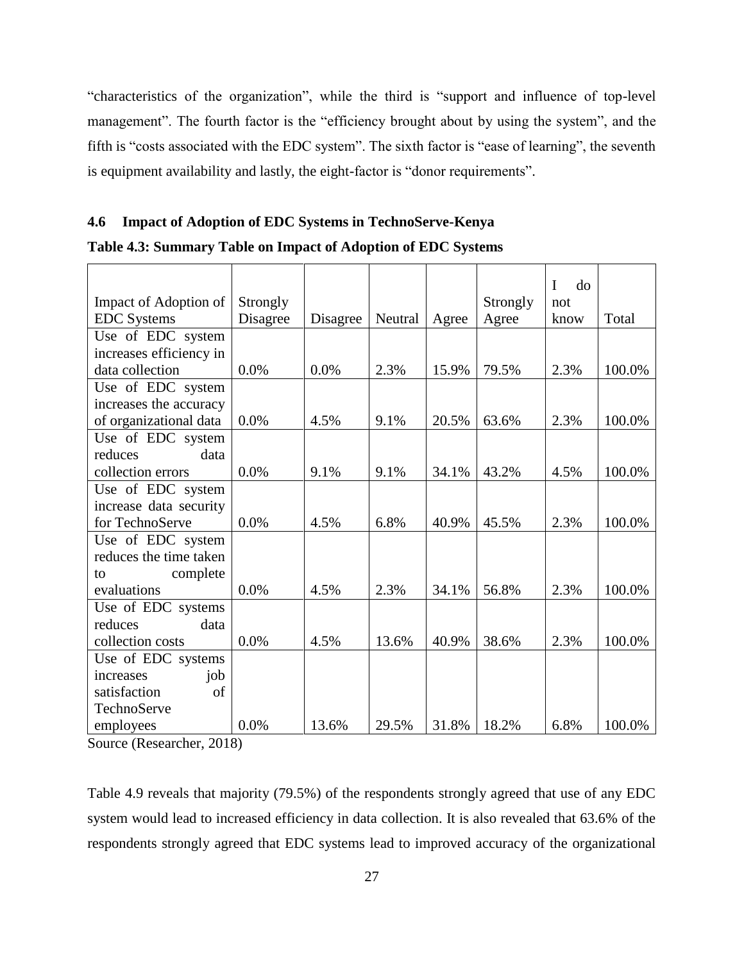"characteristics of the organization", while the third is "support and influence of top-level management". The fourth factor is the "efficiency brought about by using the system", and the fifth is "costs associated with the EDC system". The sixth factor is "ease of learning", the seventh is equipment availability and lastly, the eight-factor is "donor requirements".

#### <span id="page-37-0"></span>**4.6 Impact of Adoption of EDC Systems in TechnoServe-Kenya**

**Table 4.3: Summary Table on Impact of Adoption of EDC Systems**

|                         |          |          |         |       |          | d <sub>o</sub><br>I |        |
|-------------------------|----------|----------|---------|-------|----------|---------------------|--------|
| Impact of Adoption of   | Strongly |          |         |       | Strongly | not                 |        |
| <b>EDC</b> Systems      | Disagree | Disagree | Neutral | Agree | Agree    | know                | Total  |
| Use of EDC system       |          |          |         |       |          |                     |        |
| increases efficiency in |          |          |         |       |          |                     |        |
| data collection         | 0.0%     | 0.0%     | 2.3%    | 15.9% | 79.5%    | 2.3%                | 100.0% |
| Use of EDC system       |          |          |         |       |          |                     |        |
| increases the accuracy  |          |          |         |       |          |                     |        |
| of organizational data  | 0.0%     | 4.5%     | 9.1%    | 20.5% | 63.6%    | 2.3%                | 100.0% |
| Use of EDC system       |          |          |         |       |          |                     |        |
| data<br>reduces         |          |          |         |       |          |                     |        |
| collection errors       | 0.0%     | 9.1%     | 9.1%    | 34.1% | 43.2%    | 4.5%                | 100.0% |
| Use of EDC system       |          |          |         |       |          |                     |        |
| increase data security  |          |          |         |       |          |                     |        |
| for TechnoServe         | 0.0%     | 4.5%     | 6.8%    | 40.9% | 45.5%    | 2.3%                | 100.0% |
| Use of EDC system       |          |          |         |       |          |                     |        |
| reduces the time taken  |          |          |         |       |          |                     |        |
| complete<br>to          |          |          |         |       |          |                     |        |
| evaluations             | 0.0%     | 4.5%     | 2.3%    | 34.1% | 56.8%    | 2.3%                | 100.0% |
| Use of EDC systems      |          |          |         |       |          |                     |        |
| reduces<br>data         |          |          |         |       |          |                     |        |
| collection costs        | 0.0%     | 4.5%     | 13.6%   | 40.9% | 38.6%    | 2.3%                | 100.0% |
| Use of EDC systems      |          |          |         |       |          |                     |        |
| job<br>increases        |          |          |         |       |          |                     |        |
| of<br>satisfaction      |          |          |         |       |          |                     |        |
| TechnoServe             |          |          |         |       |          |                     |        |
| employees               | $0.0\%$  | 13.6%    | 29.5%   | 31.8% | 18.2%    | 6.8%                | 100.0% |

Source (Researcher, 2018)

Table 4.9 reveals that majority (79.5%) of the respondents strongly agreed that use of any EDC system would lead to increased efficiency in data collection. It is also revealed that 63.6% of the respondents strongly agreed that EDC systems lead to improved accuracy of the organizational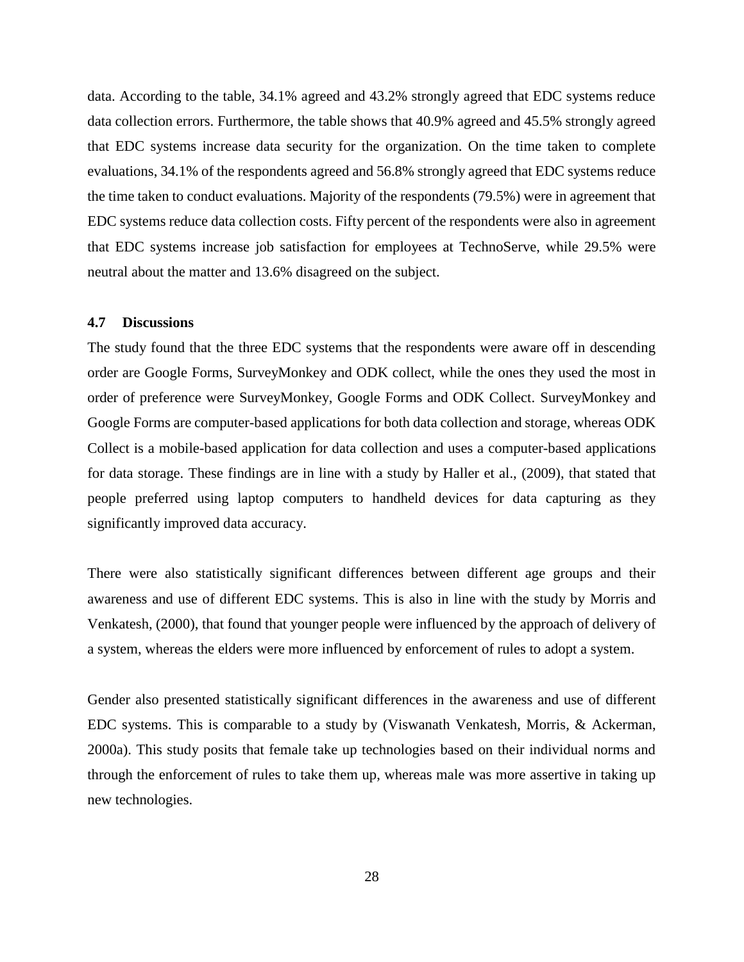data. According to the table, 34.1% agreed and 43.2% strongly agreed that EDC systems reduce data collection errors. Furthermore, the table shows that 40.9% agreed and 45.5% strongly agreed that EDC systems increase data security for the organization. On the time taken to complete evaluations, 34.1% of the respondents agreed and 56.8% strongly agreed that EDC systems reduce the time taken to conduct evaluations. Majority of the respondents (79.5%) were in agreement that EDC systems reduce data collection costs. Fifty percent of the respondents were also in agreement that EDC systems increase job satisfaction for employees at TechnoServe, while 29.5% were neutral about the matter and 13.6% disagreed on the subject.

#### <span id="page-38-0"></span>**4.7 Discussions**

The study found that the three EDC systems that the respondents were aware off in descending order are Google Forms, SurveyMonkey and ODK collect, while the ones they used the most in order of preference were SurveyMonkey, Google Forms and ODK Collect. SurveyMonkey and Google Forms are computer-based applications for both data collection and storage, whereas ODK Collect is a mobile-based application for data collection and uses a computer-based applications for data storage. These findings are in line with a study by Haller et al., (2009), that stated that people preferred using laptop computers to handheld devices for data capturing as they significantly improved data accuracy.

There were also statistically significant differences between different age groups and their awareness and use of different EDC systems. This is also in line with the study by Morris and Venkatesh, (2000), that found that younger people were influenced by the approach of delivery of a system, whereas the elders were more influenced by enforcement of rules to adopt a system.

Gender also presented statistically significant differences in the awareness and use of different EDC systems. This is comparable to a study by (Viswanath Venkatesh, Morris, & Ackerman, 2000a). This study posits that female take up technologies based on their individual norms and through the enforcement of rules to take them up, whereas male was more assertive in taking up new technologies.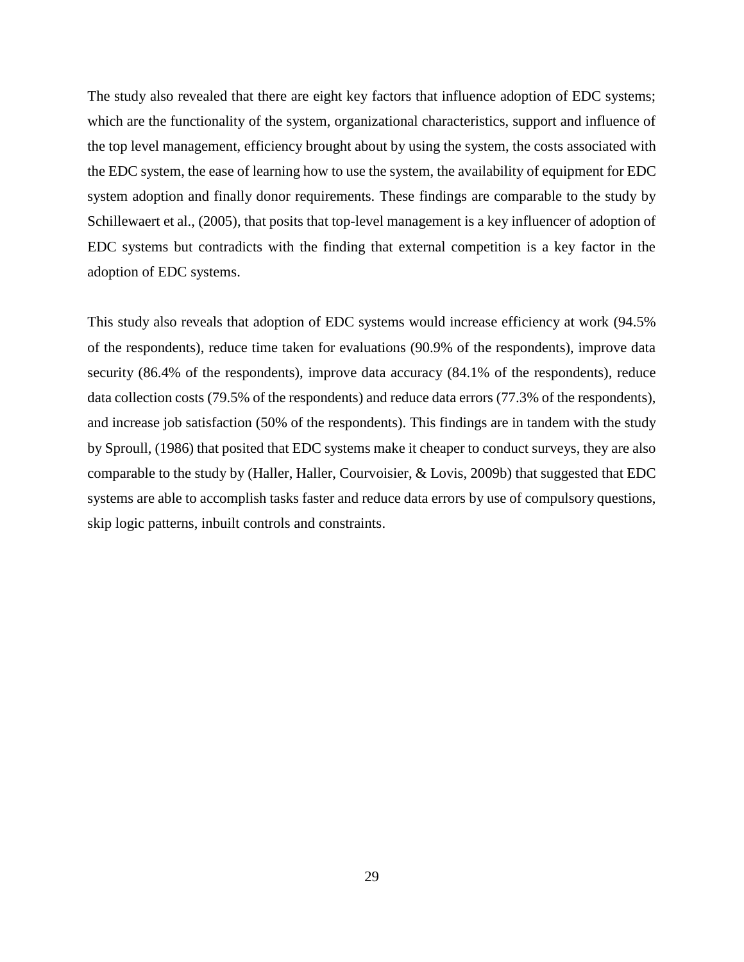The study also revealed that there are eight key factors that influence adoption of EDC systems; which are the functionality of the system, organizational characteristics, support and influence of the top level management, efficiency brought about by using the system, the costs associated with the EDC system, the ease of learning how to use the system, the availability of equipment for EDC system adoption and finally donor requirements. These findings are comparable to the study by Schillewaert et al., (2005), that posits that top-level management is a key influencer of adoption of EDC systems but contradicts with the finding that external competition is a key factor in the adoption of EDC systems.

This study also reveals that adoption of EDC systems would increase efficiency at work (94.5% of the respondents), reduce time taken for evaluations (90.9% of the respondents), improve data security (86.4% of the respondents), improve data accuracy (84.1% of the respondents), reduce data collection costs (79.5% of the respondents) and reduce data errors (77.3% of the respondents), and increase job satisfaction (50% of the respondents). This findings are in tandem with the study by Sproull, (1986) that posited that EDC systems make it cheaper to conduct surveys, they are also comparable to the study by (Haller, Haller, Courvoisier, & Lovis, 2009b) that suggested that EDC systems are able to accomplish tasks faster and reduce data errors by use of compulsory questions, skip logic patterns, inbuilt controls and constraints.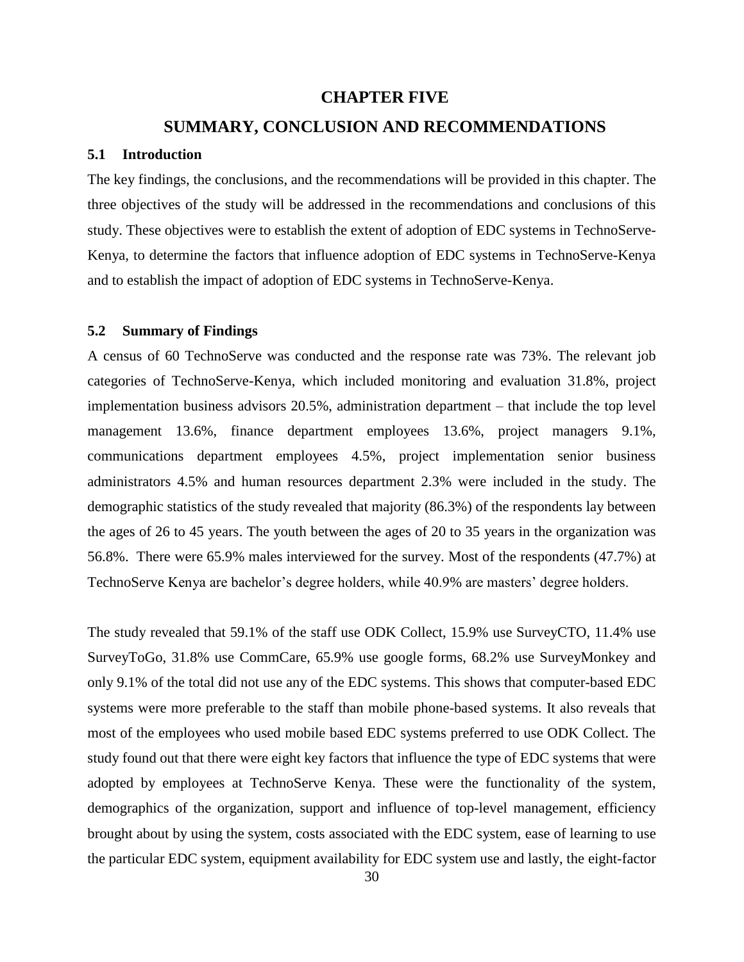#### **CHAPTER FIVE**

#### **SUMMARY, CONCLUSION AND RECOMMENDATIONS**

#### <span id="page-40-1"></span><span id="page-40-0"></span>**5.1 Introduction**

The key findings, the conclusions, and the recommendations will be provided in this chapter. The three objectives of the study will be addressed in the recommendations and conclusions of this study. These objectives were to establish the extent of adoption of EDC systems in TechnoServe-Kenya, to determine the factors that influence adoption of EDC systems in TechnoServe-Kenya and to establish the impact of adoption of EDC systems in TechnoServe-Kenya.

#### <span id="page-40-2"></span>**5.2 Summary of Findings**

A census of 60 TechnoServe was conducted and the response rate was 73%. The relevant job categories of TechnoServe-Kenya, which included monitoring and evaluation 31.8%, project implementation business advisors 20.5%, administration department – that include the top level management 13.6%, finance department employees 13.6%, project managers 9.1%, communications department employees 4.5%, project implementation senior business administrators 4.5% and human resources department 2.3% were included in the study. The demographic statistics of the study revealed that majority (86.3%) of the respondents lay between the ages of 26 to 45 years. The youth between the ages of 20 to 35 years in the organization was 56.8%. There were 65.9% males interviewed for the survey. Most of the respondents (47.7%) at TechnoServe Kenya are bachelor's degree holders, while 40.9% are masters' degree holders.

The study revealed that 59.1% of the staff use ODK Collect, 15.9% use SurveyCTO, 11.4% use SurveyToGo, 31.8% use CommCare, 65.9% use google forms, 68.2% use SurveyMonkey and only 9.1% of the total did not use any of the EDC systems. This shows that computer-based EDC systems were more preferable to the staff than mobile phone-based systems. It also reveals that most of the employees who used mobile based EDC systems preferred to use ODK Collect. The study found out that there were eight key factors that influence the type of EDC systems that were adopted by employees at TechnoServe Kenya. These were the functionality of the system, demographics of the organization, support and influence of top-level management, efficiency brought about by using the system, costs associated with the EDC system, ease of learning to use the particular EDC system, equipment availability for EDC system use and lastly, the eight-factor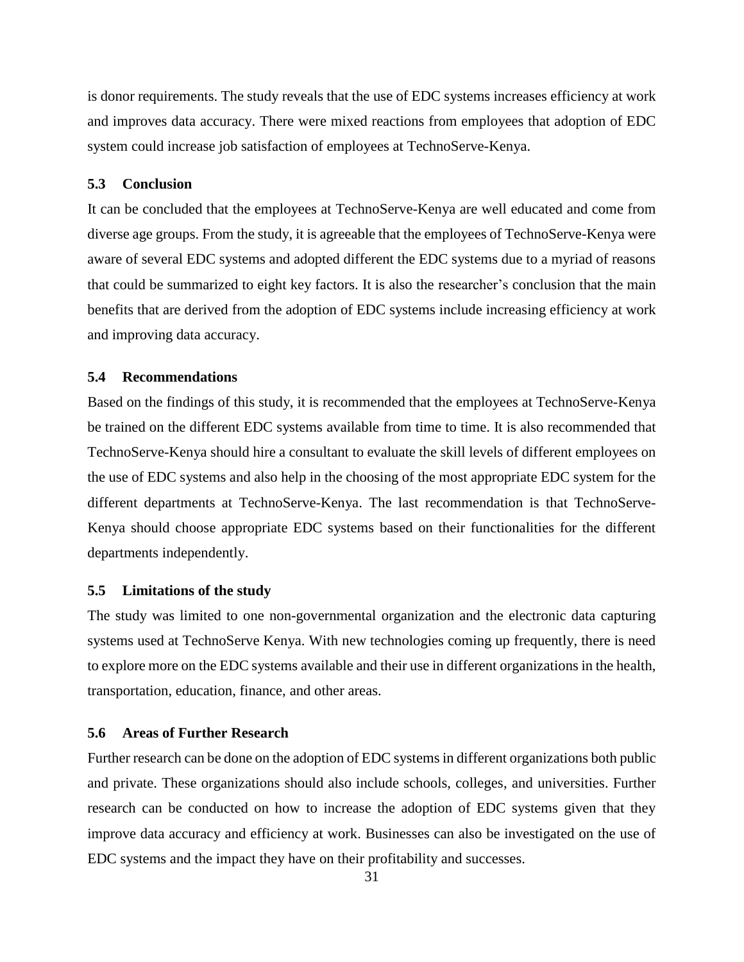is donor requirements. The study reveals that the use of EDC systems increases efficiency at work and improves data accuracy. There were mixed reactions from employees that adoption of EDC system could increase job satisfaction of employees at TechnoServe-Kenya.

#### <span id="page-41-0"></span>**5.3 Conclusion**

It can be concluded that the employees at TechnoServe-Kenya are well educated and come from diverse age groups. From the study, it is agreeable that the employees of TechnoServe-Kenya were aware of several EDC systems and adopted different the EDC systems due to a myriad of reasons that could be summarized to eight key factors. It is also the researcher's conclusion that the main benefits that are derived from the adoption of EDC systems include increasing efficiency at work and improving data accuracy.

#### <span id="page-41-1"></span>**5.4 Recommendations**

Based on the findings of this study, it is recommended that the employees at TechnoServe-Kenya be trained on the different EDC systems available from time to time. It is also recommended that TechnoServe-Kenya should hire a consultant to evaluate the skill levels of different employees on the use of EDC systems and also help in the choosing of the most appropriate EDC system for the different departments at TechnoServe-Kenya. The last recommendation is that TechnoServe-Kenya should choose appropriate EDC systems based on their functionalities for the different departments independently.

#### <span id="page-41-2"></span>**5.5 Limitations of the study**

The study was limited to one non-governmental organization and the electronic data capturing systems used at TechnoServe Kenya. With new technologies coming up frequently, there is need to explore more on the EDC systems available and their use in different organizations in the health, transportation, education, finance, and other areas.

#### <span id="page-41-3"></span>**5.6 Areas of Further Research**

Further research can be done on the adoption of EDC systems in different organizations both public and private. These organizations should also include schools, colleges, and universities. Further research can be conducted on how to increase the adoption of EDC systems given that they improve data accuracy and efficiency at work. Businesses can also be investigated on the use of EDC systems and the impact they have on their profitability and successes.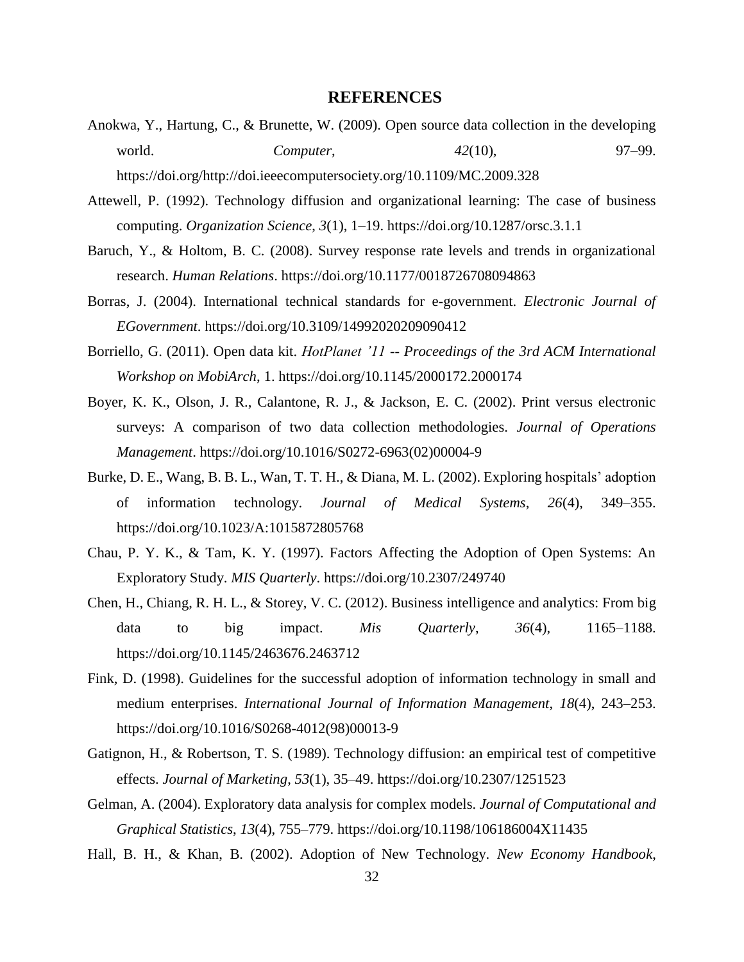#### **REFERENCES**

- <span id="page-42-0"></span>Anokwa, Y., Hartung, C., & Brunette, W. (2009). Open source data collection in the developing world. *Computer*, *42*(10), 97–99. https://doi.org/http://doi.ieeecomputersociety.org/10.1109/MC.2009.328
- Attewell, P. (1992). Technology diffusion and organizational learning: The case of business computing. *Organization Science*, *3*(1), 1–19. https://doi.org/10.1287/orsc.3.1.1
- Baruch, Y., & Holtom, B. C. (2008). Survey response rate levels and trends in organizational research. *Human Relations*. https://doi.org/10.1177/0018726708094863
- Borras, J. (2004). International technical standards for e-government. *Electronic Journal of EGovernment*. https://doi.org/10.3109/14992020209090412
- Borriello, G. (2011). Open data kit. *HotPlanet '11 -- Proceedings of the 3rd ACM International Workshop on MobiArch*, 1. https://doi.org/10.1145/2000172.2000174
- Boyer, K. K., Olson, J. R., Calantone, R. J., & Jackson, E. C. (2002). Print versus electronic surveys: A comparison of two data collection methodologies. *Journal of Operations Management*. https://doi.org/10.1016/S0272-6963(02)00004-9
- Burke, D. E., Wang, B. B. L., Wan, T. T. H., & Diana, M. L. (2002). Exploring hospitals' adoption of information technology. *Journal of Medical Systems*, *26*(4), 349–355. https://doi.org/10.1023/A:1015872805768
- Chau, P. Y. K., & Tam, K. Y. (1997). Factors Affecting the Adoption of Open Systems: An Exploratory Study. *MIS Quarterly*. https://doi.org/10.2307/249740
- Chen, H., Chiang, R. H. L., & Storey, V. C. (2012). Business intelligence and analytics: From big data to big impact. *Mis Quarterly*, *36*(4), 1165–1188. https://doi.org/10.1145/2463676.2463712
- Fink, D. (1998). Guidelines for the successful adoption of information technology in small and medium enterprises. *International Journal of Information Management*, *18*(4), 243–253. https://doi.org/10.1016/S0268-4012(98)00013-9
- Gatignon, H., & Robertson, T. S. (1989). Technology diffusion: an empirical test of competitive effects. *Journal of Marketing*, *53*(1), 35–49. https://doi.org/10.2307/1251523
- Gelman, A. (2004). Exploratory data analysis for complex models. *Journal of Computational and Graphical Statistics*, *13*(4), 755–779. https://doi.org/10.1198/106186004X11435
- Hall, B. H., & Khan, B. (2002). Adoption of New Technology. *New Economy Handbook*,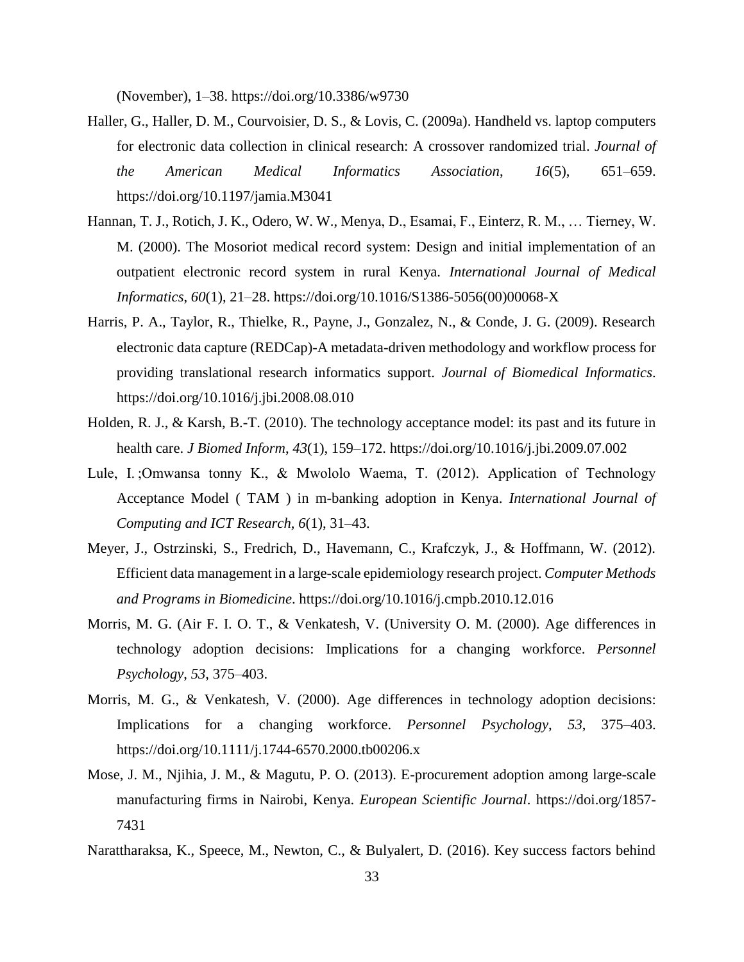(November), 1–38. https://doi.org/10.3386/w9730

- Haller, G., Haller, D. M., Courvoisier, D. S., & Lovis, C. (2009a). Handheld vs. laptop computers for electronic data collection in clinical research: A crossover randomized trial. *Journal of the American Medical Informatics Association*, *16*(5), 651–659. https://doi.org/10.1197/jamia.M3041
- Hannan, T. J., Rotich, J. K., Odero, W. W., Menya, D., Esamai, F., Einterz, R. M., … Tierney, W. M. (2000). The Mosoriot medical record system: Design and initial implementation of an outpatient electronic record system in rural Kenya. *International Journal of Medical Informatics*, *60*(1), 21–28. https://doi.org/10.1016/S1386-5056(00)00068-X
- Harris, P. A., Taylor, R., Thielke, R., Payne, J., Gonzalez, N., & Conde, J. G. (2009). Research electronic data capture (REDCap)-A metadata-driven methodology and workflow process for providing translational research informatics support. *Journal of Biomedical Informatics*. https://doi.org/10.1016/j.jbi.2008.08.010
- Holden, R. J., & Karsh, B.-T. (2010). The technology acceptance model: its past and its future in health care. *J Biomed Inform*, *43*(1), 159–172. https://doi.org/10.1016/j.jbi.2009.07.002
- Lule, I. ;Omwansa tonny K., & Mwololo Waema, T. (2012). Application of Technology Acceptance Model ( TAM ) in m-banking adoption in Kenya. *International Journal of Computing and ICT Research*, *6*(1), 31–43.
- Meyer, J., Ostrzinski, S., Fredrich, D., Havemann, C., Krafczyk, J., & Hoffmann, W. (2012). Efficient data management in a large-scale epidemiology research project. *Computer Methods and Programs in Biomedicine*. https://doi.org/10.1016/j.cmpb.2010.12.016
- Morris, M. G. (Air F. I. O. T., & Venkatesh, V. (University O. M. (2000). Age differences in technology adoption decisions: Implications for a changing workforce. *Personnel Psychology*, *53*, 375–403.
- Morris, M. G., & Venkatesh, V. (2000). Age differences in technology adoption decisions: Implications for a changing workforce. *Personnel Psychology*, *53*, 375–403. https://doi.org/10.1111/j.1744-6570.2000.tb00206.x
- Mose, J. M., Njihia, J. M., & Magutu, P. O. (2013). E-procurement adoption among large-scale manufacturing firms in Nairobi, Kenya. *European Scientific Journal*. https://doi.org/1857- 7431
- Narattharaksa, K., Speece, M., Newton, C., & Bulyalert, D. (2016). Key success factors behind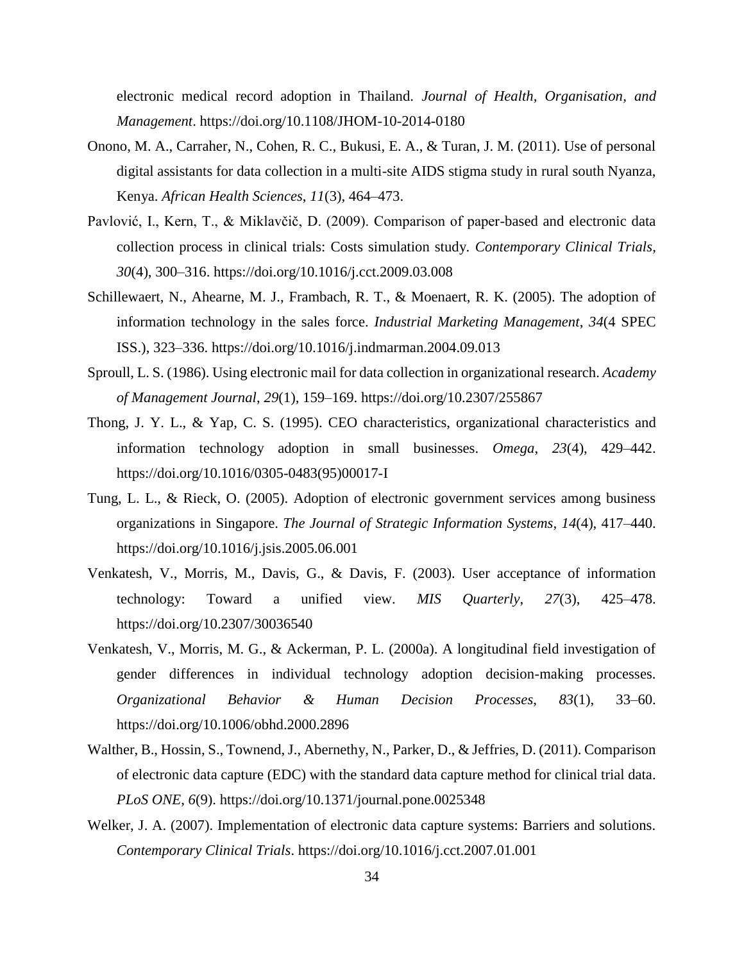electronic medical record adoption in Thailand. *Journal of Health, Organisation, and Management*. https://doi.org/10.1108/JHOM-10-2014-0180

- Onono, M. A., Carraher, N., Cohen, R. C., Bukusi, E. A., & Turan, J. M. (2011). Use of personal digital assistants for data collection in a multi-site AIDS stigma study in rural south Nyanza, Kenya. *African Health Sciences*, *11*(3), 464–473.
- Pavlović, I., Kern, T., & Miklavčič, D. (2009). Comparison of paper-based and electronic data collection process in clinical trials: Costs simulation study. *Contemporary Clinical Trials*, *30*(4), 300–316. https://doi.org/10.1016/j.cct.2009.03.008
- Schillewaert, N., Ahearne, M. J., Frambach, R. T., & Moenaert, R. K. (2005). The adoption of information technology in the sales force. *Industrial Marketing Management*, *34*(4 SPEC ISS.), 323–336. https://doi.org/10.1016/j.indmarman.2004.09.013
- Sproull, L. S. (1986). Using electronic mail for data collection in organizational research. *Academy of Management Journal*, *29*(1), 159–169. https://doi.org/10.2307/255867
- Thong, J. Y. L., & Yap, C. S. (1995). CEO characteristics, organizational characteristics and information technology adoption in small businesses. *Omega*, *23*(4), 429–442. https://doi.org/10.1016/0305-0483(95)00017-I
- Tung, L. L., & Rieck, O. (2005). Adoption of electronic government services among business organizations in Singapore. *The Journal of Strategic Information Systems*, *14*(4), 417–440. https://doi.org/10.1016/j.jsis.2005.06.001
- Venkatesh, V., Morris, M., Davis, G., & Davis, F. (2003). User acceptance of information technology: Toward a unified view. *MIS Quarterly*, *27*(3), 425–478. https://doi.org/10.2307/30036540
- Venkatesh, V., Morris, M. G., & Ackerman, P. L. (2000a). A longitudinal field investigation of gender differences in individual technology adoption decision-making processes. *Organizational Behavior & Human Decision Processes*, *83*(1), 33–60. https://doi.org/10.1006/obhd.2000.2896
- Walther, B., Hossin, S., Townend, J., Abernethy, N., Parker, D., & Jeffries, D. (2011). Comparison of electronic data capture (EDC) with the standard data capture method for clinical trial data. *PLoS ONE*, *6*(9). https://doi.org/10.1371/journal.pone.0025348
- Welker, J. A. (2007). Implementation of electronic data capture systems: Barriers and solutions. *Contemporary Clinical Trials*. https://doi.org/10.1016/j.cct.2007.01.001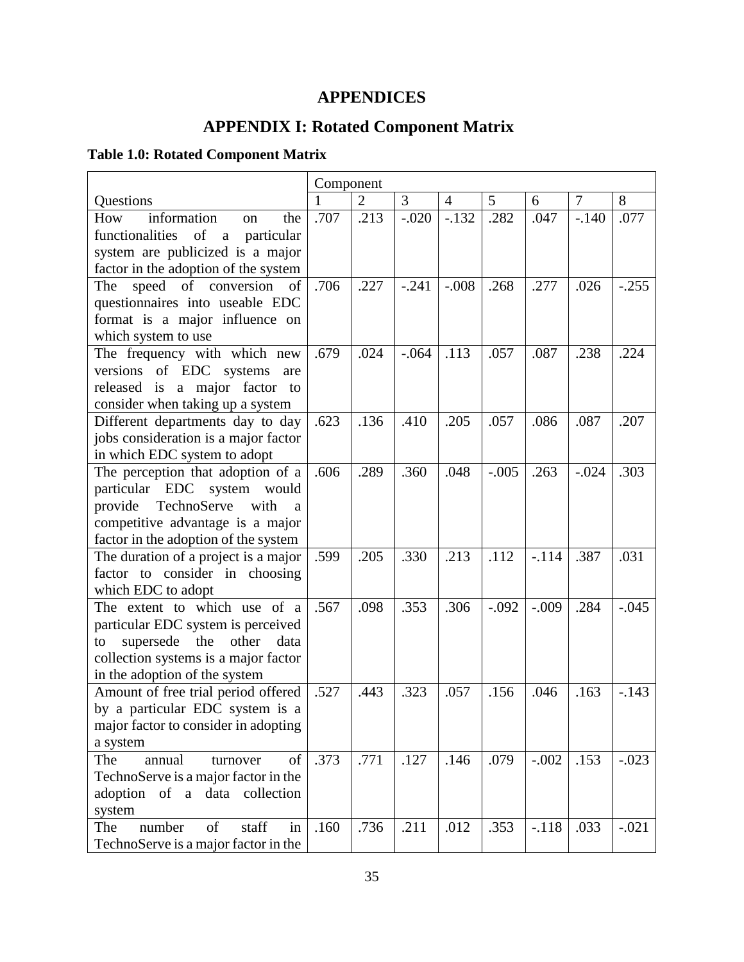## <span id="page-45-0"></span>**APPENDICES**

## **APPENDIX I: Rotated Component Matrix**

## <span id="page-45-2"></span><span id="page-45-1"></span>**Table 1.0: Rotated Component Matrix**

|                                              | Component |                |         |                |         |         |                |         |
|----------------------------------------------|-----------|----------------|---------|----------------|---------|---------|----------------|---------|
| Questions                                    |           | $\overline{2}$ | 3       | $\overline{4}$ | 5       | 6       | $\overline{7}$ | 8       |
| information<br>How<br>the<br>on              | .707      | .213           | $-.020$ | $-.132$        | .282    | .047    | $-.140$        | .077    |
| functionalities of<br>$\rm{a}$<br>particular |           |                |         |                |         |         |                |         |
| system are publicized is a major             |           |                |         |                |         |         |                |         |
| factor in the adoption of the system         |           |                |         |                |         |         |                |         |
| speed of conversion<br>of<br>The             | .706      | .227           | $-.241$ | $-.008$        | .268    | .277    | .026           | $-.255$ |
| questionnaires into useable EDC              |           |                |         |                |         |         |                |         |
| format is a major influence on               |           |                |         |                |         |         |                |         |
| which system to use                          |           |                |         |                |         |         |                |         |
| The frequency with which new                 | .679      | .024           | $-.064$ | .113           | .057    | .087    | .238           | .224    |
| versions of EDC systems<br>are               |           |                |         |                |         |         |                |         |
| released is a major factor to                |           |                |         |                |         |         |                |         |
| consider when taking up a system             |           |                |         |                |         |         |                |         |
| Different departments day to day             | .623      | .136           | .410    | .205           | .057    | .086    | .087           | .207    |
| jobs consideration is a major factor         |           |                |         |                |         |         |                |         |
| in which EDC system to adopt                 |           |                |         |                |         |         |                |         |
| The perception that adoption of a            | .606      | .289           | .360    | .048           | $-.005$ | .263    | $-.024$        | .303    |
| particular EDC system would                  |           |                |         |                |         |         |                |         |
| provide<br>TechnoServe<br>with<br>a          |           |                |         |                |         |         |                |         |
| competitive advantage is a major             |           |                |         |                |         |         |                |         |
| factor in the adoption of the system         |           |                |         |                |         |         |                |         |
| The duration of a project is a major         | .599      | .205           | .330    | .213           | .112    | $-.114$ | .387           | .031    |
| factor to consider in choosing               |           |                |         |                |         |         |                |         |
| which EDC to adopt                           |           |                |         |                |         |         |                |         |
| The extent to which use of a                 | .567      | .098           | .353    | .306           | $-.092$ | $-.009$ | .284           | $-.045$ |
| particular EDC system is perceived           |           |                |         |                |         |         |                |         |
| other<br>supersede the<br>data<br>to         |           |                |         |                |         |         |                |         |
| collection systems is a major factor         |           |                |         |                |         |         |                |         |
| in the adoption of the system                |           |                |         |                |         |         |                |         |
| Amount of free trial period offered          | .527      | .443           | .323    | .057           | .156    | .046    | .163           | $-143$  |
| by a particular EDC system is a              |           |                |         |                |         |         |                |         |
| major factor to consider in adopting         |           |                |         |                |         |         |                |         |
| a system                                     |           |                |         |                |         |         |                |         |
| of<br>annual<br>The<br>turnover              | .373      | .771           | .127    | .146           | .079    | $-.002$ | .153           | $-.023$ |
| TechnoServe is a major factor in the         |           |                |         |                |         |         |                |         |
| adoption of a data collection                |           |                |         |                |         |         |                |         |
| system                                       |           |                |         |                |         |         |                |         |
| of<br>staff<br>number<br>in<br>The           | .160      | .736           | .211    | .012           | .353    | $-.118$ | .033           | $-.021$ |
| TechnoServe is a major factor in the         |           |                |         |                |         |         |                |         |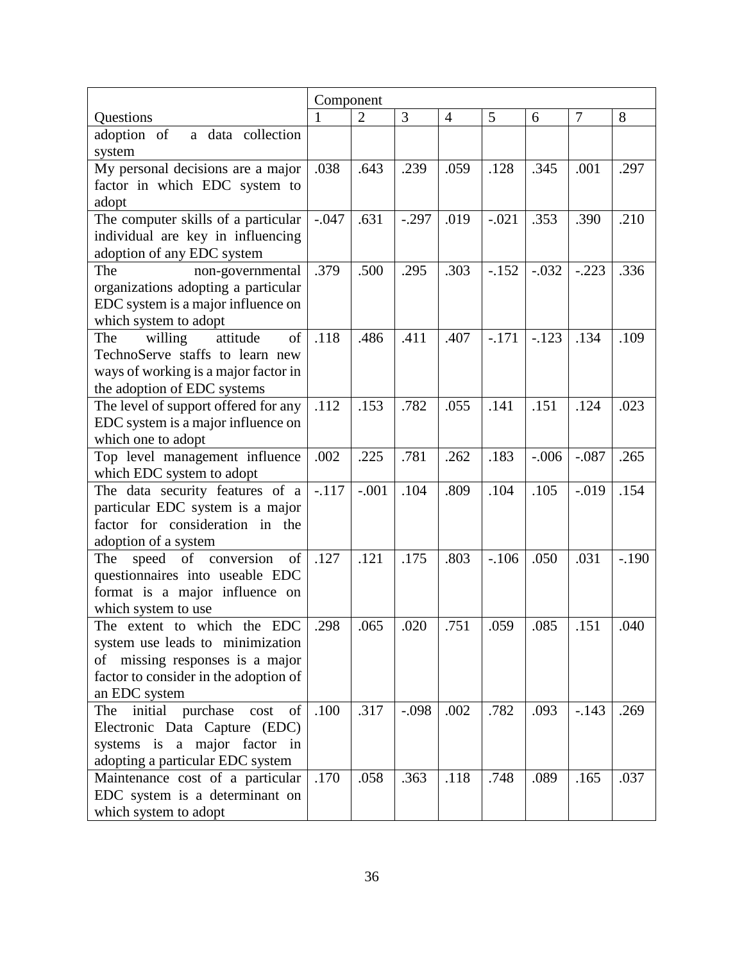|                                       | Component |                |         |                |         |         |                |         |
|---------------------------------------|-----------|----------------|---------|----------------|---------|---------|----------------|---------|
| Questions                             | 1         | $\overline{2}$ | 3       | $\overline{4}$ | 5       | 6       | $\overline{7}$ | 8       |
| adoption of<br>a data collection      |           |                |         |                |         |         |                |         |
| system                                |           |                |         |                |         |         |                |         |
| My personal decisions are a major     | .038      | .643           | .239    | .059           | .128    | .345    | .001           | .297    |
| factor in which EDC system to         |           |                |         |                |         |         |                |         |
| adopt                                 |           |                |         |                |         |         |                |         |
| The computer skills of a particular   | $-.047$   | .631           | $-.297$ | .019           | $-.021$ | .353    | .390           | .210    |
| individual are key in influencing     |           |                |         |                |         |         |                |         |
| adoption of any EDC system            |           |                |         |                |         |         |                |         |
| The<br>non-governmental               | .379      | .500           | .295    | .303           | $-.152$ | $-.032$ | $-.223$        | .336    |
| organizations adopting a particular   |           |                |         |                |         |         |                |         |
| EDC system is a major influence on    |           |                |         |                |         |         |                |         |
| which system to adopt                 |           |                |         |                |         |         |                |         |
| willing<br>attitude<br>The<br>of      | .118      | .486           | .411    | .407           | $-.171$ | $-.123$ | .134           | .109    |
| TechnoServe staffs to learn new       |           |                |         |                |         |         |                |         |
| ways of working is a major factor in  |           |                |         |                |         |         |                |         |
| the adoption of EDC systems           |           |                |         |                |         |         |                |         |
| The level of support offered for any  | .112      | .153           | .782    | .055           | .141    | .151    | .124           | .023    |
| EDC system is a major influence on    |           |                |         |                |         |         |                |         |
| which one to adopt                    |           |                |         |                |         |         |                |         |
| Top level management influence        | .002      | .225           | .781    | .262           | .183    | $-.006$ | $-.087$        | .265    |
| which EDC system to adopt             |           |                |         |                |         |         |                |         |
| The data security features of a       | $-.117$   | $-.001$        | .104    | .809           | .104    | .105    | $-0.019$       | .154    |
| particular EDC system is a major      |           |                |         |                |         |         |                |         |
| factor for consideration in the       |           |                |         |                |         |         |                |         |
| adoption of a system                  |           |                |         |                |         |         |                |         |
| speed of conversion<br>of<br>The      | .127      | .121           | .175    | .803           | $-.106$ | .050    | .031           | $-.190$ |
| questionnaires into useable EDC       |           |                |         |                |         |         |                |         |
| format is a major influence on        |           |                |         |                |         |         |                |         |
| which system to use                   |           |                |         |                |         |         |                |         |
| The extent to which the EDC           | .298      | .065           | .020    | .751           | .059    | .085    | 151            | .040    |
| system use leads to minimization      |           |                |         |                |         |         |                |         |
| of missing responses is a major       |           |                |         |                |         |         |                |         |
| factor to consider in the adoption of |           |                |         |                |         |         |                |         |
| an EDC system                         |           |                |         |                |         |         |                |         |
| initial purchase<br>of<br>The<br>cost | .100      | .317           | $-.098$ | .002           | .782    | .093    | $-.143$        | .269    |
| Electronic Data Capture (EDC)         |           |                |         |                |         |         |                |         |
| systems is a major factor in          |           |                |         |                |         |         |                |         |
| adopting a particular EDC system      |           |                |         |                |         |         |                |         |
| Maintenance cost of a particular      | .170      | .058           | .363    | .118           | .748    | .089    | .165           | .037    |
| EDC system is a determinant on        |           |                |         |                |         |         |                |         |
| which system to adopt                 |           |                |         |                |         |         |                |         |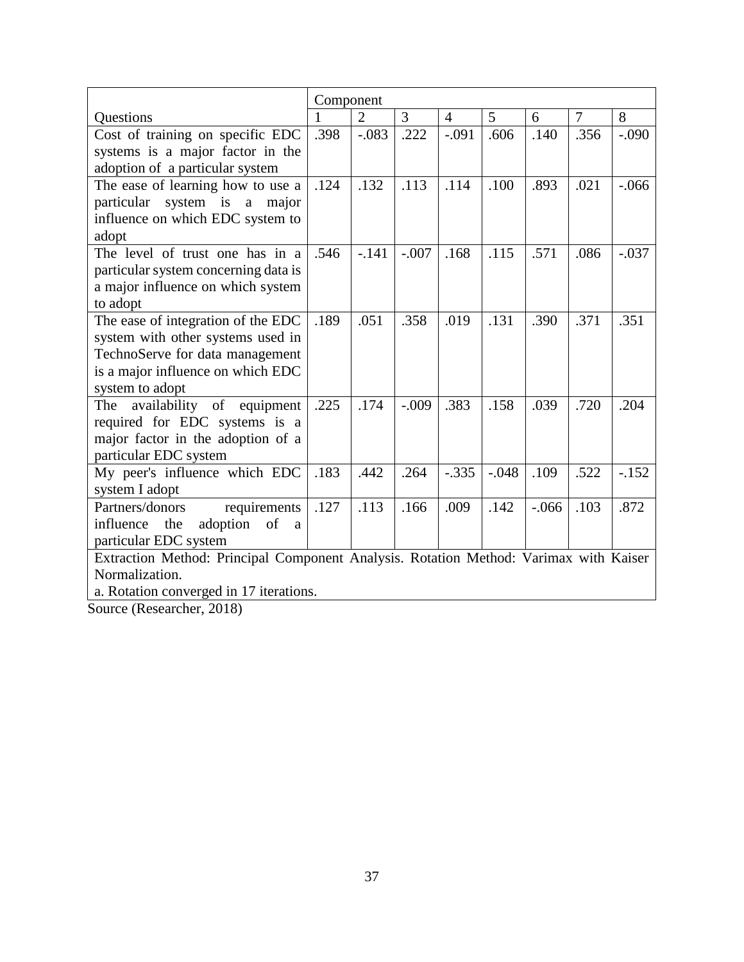|                                                                                       | Component    |                |                |                |         |         |                |         |
|---------------------------------------------------------------------------------------|--------------|----------------|----------------|----------------|---------|---------|----------------|---------|
| <b>Ouestions</b>                                                                      | $\mathbf{1}$ | $\overline{2}$ | $\overline{3}$ | $\overline{4}$ | 5       | 6       | $\overline{7}$ | 8       |
| Cost of training on specific EDC                                                      | .398         | $-.083$        | .222           | $-.091$        | .606    | .140    | .356           | $-.090$ |
| systems is a major factor in the                                                      |              |                |                |                |         |         |                |         |
| adoption of a particular system                                                       |              |                |                |                |         |         |                |         |
| The ease of learning how to use a                                                     | .124         | .132           | .113           | .114           | .100    | .893    | .021           | $-.066$ |
| particular system is a major                                                          |              |                |                |                |         |         |                |         |
| influence on which EDC system to                                                      |              |                |                |                |         |         |                |         |
| adopt                                                                                 |              |                |                |                |         |         |                |         |
| The level of trust one has in a                                                       | .546         | $-.141$        | $-.007$        | .168           | .115    | .571    | .086           | $-.037$ |
| particular system concerning data is                                                  |              |                |                |                |         |         |                |         |
| a major influence on which system                                                     |              |                |                |                |         |         |                |         |
| to adopt                                                                              |              |                |                |                |         |         |                |         |
| The ease of integration of the EDC                                                    | .189         | .051           | .358           | .019           | .131    | .390    | .371           | .351    |
| system with other systems used in                                                     |              |                |                |                |         |         |                |         |
| TechnoServe for data management                                                       |              |                |                |                |         |         |                |         |
| is a major influence on which EDC                                                     |              |                |                |                |         |         |                |         |
| system to adopt                                                                       |              |                |                |                |         |         |                |         |
| availability of equipment<br>The                                                      | .225         | .174           | $-.009$        | .383           | .158    | .039    | .720           | .204    |
| required for EDC systems is a                                                         |              |                |                |                |         |         |                |         |
| major factor in the adoption of a                                                     |              |                |                |                |         |         |                |         |
| particular EDC system                                                                 |              |                |                |                |         |         |                |         |
| My peer's influence which EDC                                                         | .183         | .442           | .264           | $-.335$        | $-.048$ | .109    | .522           | $-.152$ |
| system I adopt                                                                        |              |                |                |                |         |         |                |         |
| Partners/donors<br>requirements                                                       | .127         | .113           | .166           | .009           | .142    | $-.066$ | .103           | .872    |
| influence<br>adoption of<br>the<br>a                                                  |              |                |                |                |         |         |                |         |
| particular EDC system                                                                 |              |                |                |                |         |         |                |         |
| Extraction Method: Principal Component Analysis. Rotation Method: Varimax with Kaiser |              |                |                |                |         |         |                |         |
| Normalization.                                                                        |              |                |                |                |         |         |                |         |
| a. Rotation converged in 17 iterations.                                               |              |                |                |                |         |         |                |         |

Source (Researcher, 2018)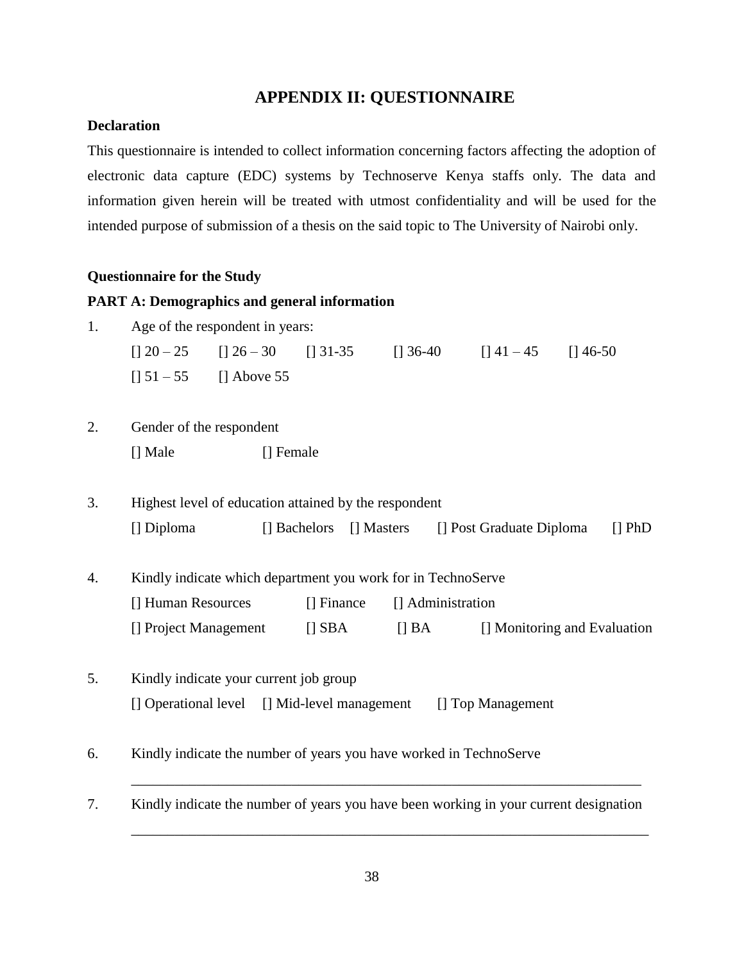### **APPENDIX II: QUESTIONNAIRE**

### <span id="page-48-0"></span>**Declaration**

This questionnaire is intended to collect information concerning factors affecting the adoption of electronic data capture (EDC) systems by Technoserve Kenya staffs only. The data and information given herein will be treated with utmost confidentiality and will be used for the intended purpose of submission of a thesis on the said topic to The University of Nairobi only.

### **Questionnaire for the Study**

#### **PART A: Demographics and general information**

| 1. |                    | Age of the respondent in years:                       |              |                                                                    |                                                                                       |             |
|----|--------------------|-------------------------------------------------------|--------------|--------------------------------------------------------------------|---------------------------------------------------------------------------------------|-------------|
|    |                    | $[$ ] 20 - 25 [] 26 - 30 [] 31-35                     |              |                                                                    | $[36-40$ $[141-45$ $[146-50$                                                          |             |
|    |                    | $[$ ] 51 – 55 [] Above 55                             |              |                                                                    |                                                                                       |             |
| 2. |                    | Gender of the respondent                              |              |                                                                    |                                                                                       |             |
|    | [] Male            |                                                       | [] Female    |                                                                    |                                                                                       |             |
| 3. |                    | Highest level of education attained by the respondent |              |                                                                    |                                                                                       |             |
|    | [] Diploma         |                                                       | [] Bachelors | [] Masters                                                         | [] Post Graduate Diploma                                                              | $\prod$ PhD |
| 4. |                    |                                                       |              | Kindly indicate which department you work for in TechnoServe       |                                                                                       |             |
|    | [] Human Resources |                                                       | [] Finance   | [] Administration                                                  |                                                                                       |             |
|    |                    | [] Project Management                                 | $[]$ SBA     | $\left[\right]$ BA                                                 | [] Monitoring and Evaluation                                                          |             |
| 5. |                    | Kindly indicate your current job group                |              |                                                                    |                                                                                       |             |
|    |                    | [] Operational level [] Mid-level management          |              |                                                                    | [] Top Management                                                                     |             |
| 6. |                    |                                                       |              | Kindly indicate the number of years you have worked in TechnoServe |                                                                                       |             |
| 7. |                    |                                                       |              |                                                                    | Kindly indicate the number of years you have been working in your current designation |             |

\_\_\_\_\_\_\_\_\_\_\_\_\_\_\_\_\_\_\_\_\_\_\_\_\_\_\_\_\_\_\_\_\_\_\_\_\_\_\_\_\_\_\_\_\_\_\_\_\_\_\_\_\_\_\_\_\_\_\_\_\_\_\_\_\_\_\_\_\_\_\_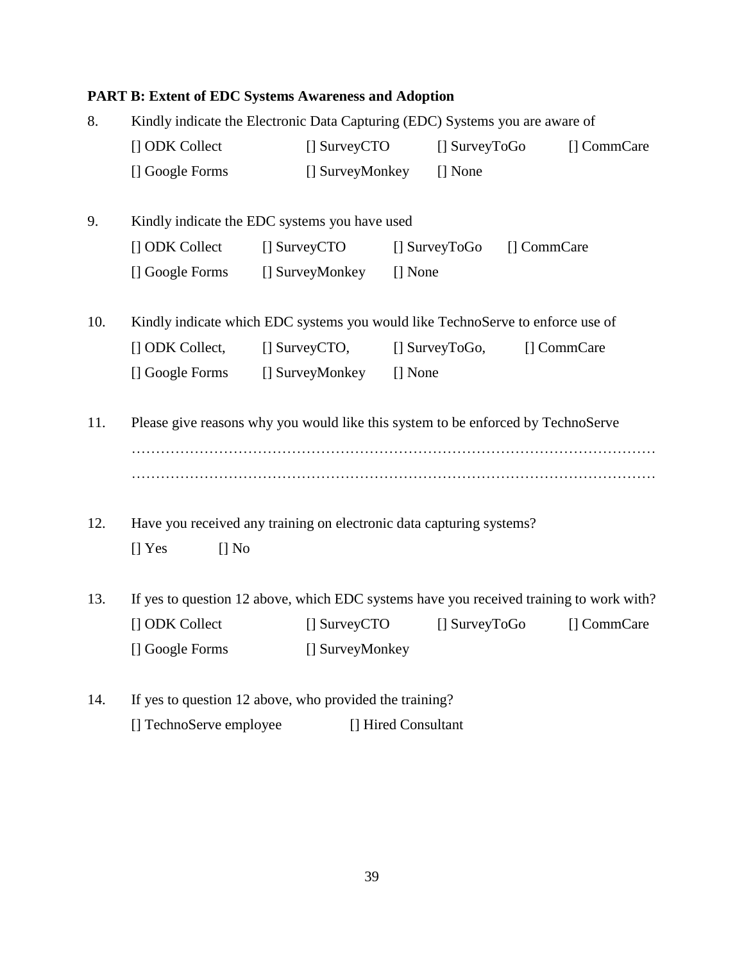## **PART B: Extent of EDC Systems Awareness and Adoption**

| 8.  |                        |                                                                                         | Kindly indicate the Electronic Data Capturing (EDC) Systems you are aware of |                            |             |             |  |  |
|-----|------------------------|-----------------------------------------------------------------------------------------|------------------------------------------------------------------------------|----------------------------|-------------|-------------|--|--|
|     | [] ODK Collect         | $\Box$ SurveyCTO                                                                        |                                                                              | [] SurveyToGo              |             | [] CommCare |  |  |
|     | [] Google Forms        | [] SurveyMonkey                                                                         |                                                                              | [] None                    |             |             |  |  |
| 9.  |                        | Kindly indicate the EDC systems you have used                                           |                                                                              |                            |             |             |  |  |
|     | [] ODK Collect         | $\Box$ SurveyCTO                                                                        |                                                                              | $\Box$ SurveyToGo          | [] CommCare |             |  |  |
|     |                        | [] Google Forms [] SurveyMonkey                                                         | [] None                                                                      |                            |             |             |  |  |
| 10. |                        | Kindly indicate which EDC systems you would like TechnoServe to enforce use of          |                                                                              |                            |             |             |  |  |
|     | [] ODK Collect,        | $\Box$ SurveyCTO,                                                                       |                                                                              | $\Box$ SurveyToGo,         | [] CommCare |             |  |  |
|     | [] Google Forms        | [] SurveyMonkey                                                                         | [] None                                                                      |                            |             |             |  |  |
| 11. |                        | Please give reasons why you would like this system to be enforced by TechnoServe        |                                                                              |                            |             |             |  |  |
| 12. |                        | Have you received any training on electronic data capturing systems?                    |                                                                              |                            |             |             |  |  |
|     | $\prod$ No<br>$[]$ Yes |                                                                                         |                                                                              |                            |             |             |  |  |
| 13. |                        | If yes to question 12 above, which EDC systems have you received training to work with? |                                                                              |                            |             |             |  |  |
|     | [] ODK Collect         | [] SurveyCTO                                                                            |                                                                              | $\left[\right]$ SurveyToGo |             | [] CommCare |  |  |
|     | [] Google Forms        | [] SurveyMonkey                                                                         |                                                                              |                            |             |             |  |  |
| 14. |                        | If yes to question 12 above, who provided the training?                                 |                                                                              |                            |             |             |  |  |

[] TechnoServe employee [] Hired Consultant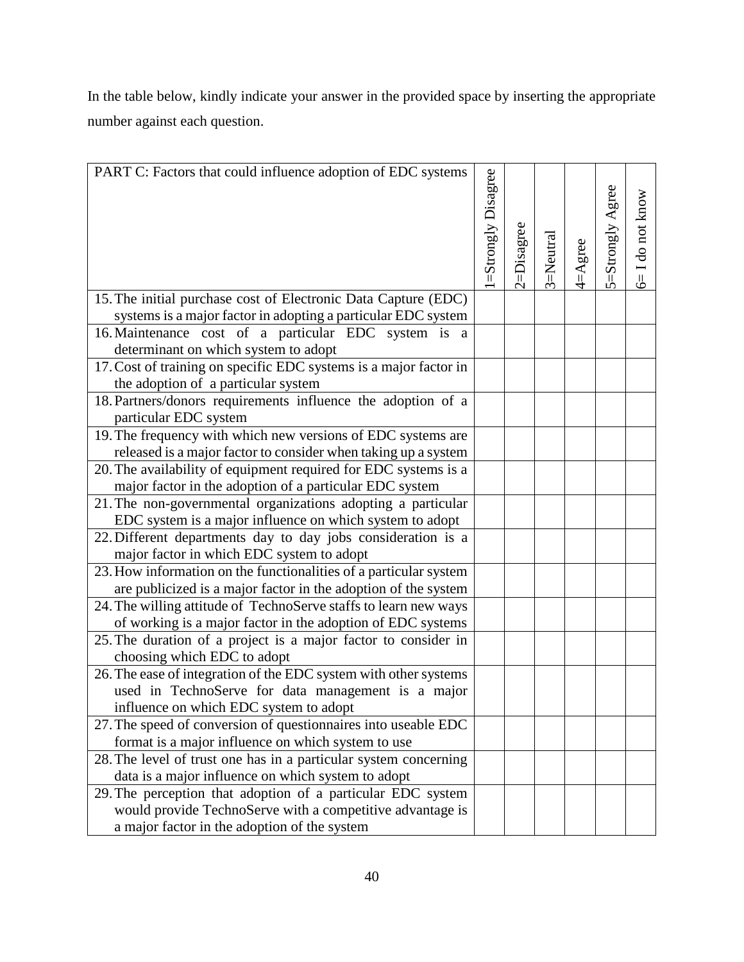In the table below, kindly indicate your answer in the provided space by inserting the appropriate number against each question.

| PART C: Factors that could influence adoption of EDC systems                                                           |                    |            |          |             |                  |                  |
|------------------------------------------------------------------------------------------------------------------------|--------------------|------------|----------|-------------|------------------|------------------|
|                                                                                                                        | =Strongly Disagree | :=Disagree | 3=Neutra | $4 =$ Agree | 5=Strongly Agree | 6= I do not know |
| 15. The initial purchase cost of Electronic Data Capture (EDC)                                                         |                    |            |          |             |                  |                  |
| systems is a major factor in adopting a particular EDC system                                                          |                    |            |          |             |                  |                  |
| 16. Maintenance cost of a particular EDC system is a                                                                   |                    |            |          |             |                  |                  |
| determinant on which system to adopt                                                                                   |                    |            |          |             |                  |                  |
| 17. Cost of training on specific EDC systems is a major factor in                                                      |                    |            |          |             |                  |                  |
| the adoption of a particular system                                                                                    |                    |            |          |             |                  |                  |
| 18. Partners/donors requirements influence the adoption of a<br>particular EDC system                                  |                    |            |          |             |                  |                  |
| 19. The frequency with which new versions of EDC systems are                                                           |                    |            |          |             |                  |                  |
| released is a major factor to consider when taking up a system                                                         |                    |            |          |             |                  |                  |
| 20. The availability of equipment required for EDC systems is a                                                        |                    |            |          |             |                  |                  |
| major factor in the adoption of a particular EDC system                                                                |                    |            |          |             |                  |                  |
| 21. The non-governmental organizations adopting a particular                                                           |                    |            |          |             |                  |                  |
| EDC system is a major influence on which system to adopt                                                               |                    |            |          |             |                  |                  |
| 22. Different departments day to day jobs consideration is a                                                           |                    |            |          |             |                  |                  |
| major factor in which EDC system to adopt                                                                              |                    |            |          |             |                  |                  |
| 23. How information on the functionalities of a particular system                                                      |                    |            |          |             |                  |                  |
| are publicized is a major factor in the adoption of the system                                                         |                    |            |          |             |                  |                  |
| 24. The willing attitude of TechnoServe staffs to learn new ways                                                       |                    |            |          |             |                  |                  |
| of working is a major factor in the adoption of EDC systems                                                            |                    |            |          |             |                  |                  |
| 25. The duration of a project is a major factor to consider in                                                         |                    |            |          |             |                  |                  |
| choosing which EDC to adopt                                                                                            |                    |            |          |             |                  |                  |
| 26. The ease of integration of the EDC system with other systems                                                       |                    |            |          |             |                  |                  |
| used in TechnoServe for data management is a major                                                                     |                    |            |          |             |                  |                  |
| influence on which EDC system to adopt                                                                                 |                    |            |          |             |                  |                  |
| 27. The speed of conversion of questionnaires into useable EDC                                                         |                    |            |          |             |                  |                  |
| format is a major influence on which system to use                                                                     |                    |            |          |             |                  |                  |
| 28. The level of trust one has in a particular system concerning<br>data is a major influence on which system to adopt |                    |            |          |             |                  |                  |
| 29. The perception that adoption of a particular EDC system                                                            |                    |            |          |             |                  |                  |
| would provide TechnoServe with a competitive advantage is                                                              |                    |            |          |             |                  |                  |
| a major factor in the adoption of the system                                                                           |                    |            |          |             |                  |                  |
|                                                                                                                        |                    |            |          |             |                  |                  |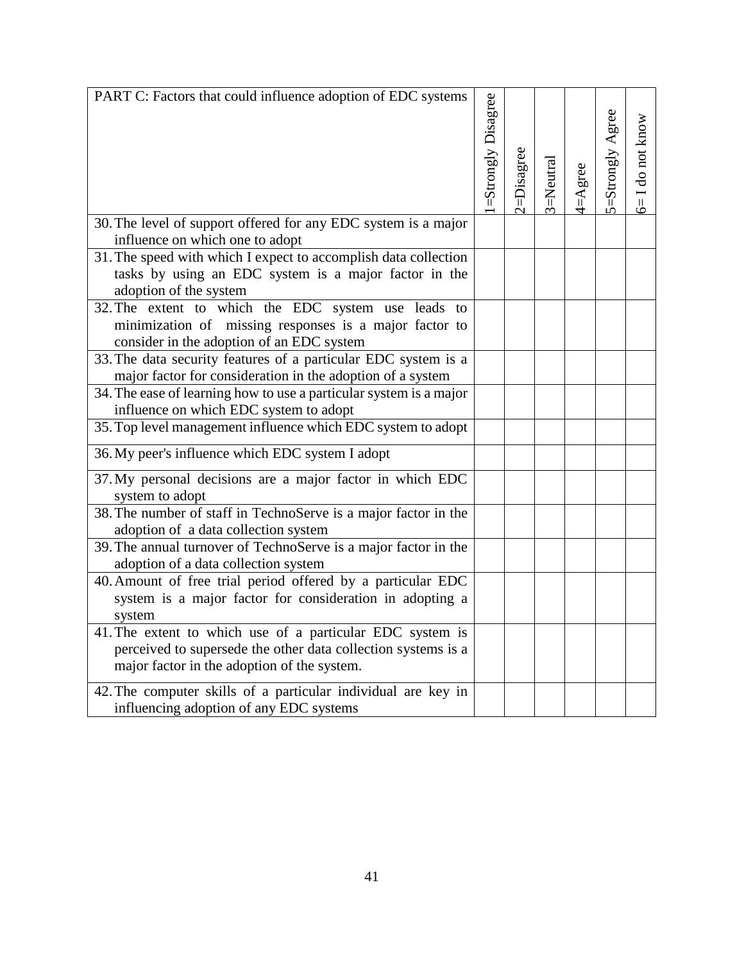| PART C: Factors that could influence adoption of EDC systems                                            |                     |            |           |             |                  |                     |
|---------------------------------------------------------------------------------------------------------|---------------------|------------|-----------|-------------|------------------|---------------------|
|                                                                                                         | 1=Strongly Disagree |            |           |             |                  |                     |
|                                                                                                         |                     |            |           |             | 5=Strongly Agree | $6 = 1$ do not know |
|                                                                                                         |                     |            |           |             |                  |                     |
|                                                                                                         |                     |            |           |             |                  |                     |
|                                                                                                         |                     | 2=Disagree | 3=Neutral | $4 =$ Agree |                  |                     |
|                                                                                                         |                     |            |           |             |                  |                     |
| 30. The level of support offered for any EDC system is a major                                          |                     |            |           |             |                  |                     |
| influence on which one to adopt<br>31. The speed with which I expect to accomplish data collection      |                     |            |           |             |                  |                     |
| tasks by using an EDC system is a major factor in the                                                   |                     |            |           |             |                  |                     |
| adoption of the system                                                                                  |                     |            |           |             |                  |                     |
| 32. The extent to which the EDC system use leads to                                                     |                     |            |           |             |                  |                     |
| minimization of missing responses is a major factor to                                                  |                     |            |           |             |                  |                     |
| consider in the adoption of an EDC system                                                               |                     |            |           |             |                  |                     |
| 33. The data security features of a particular EDC system is a                                          |                     |            |           |             |                  |                     |
| major factor for consideration in the adoption of a system                                              |                     |            |           |             |                  |                     |
| 34. The ease of learning how to use a particular system is a major                                      |                     |            |           |             |                  |                     |
| influence on which EDC system to adopt                                                                  |                     |            |           |             |                  |                     |
| 35. Top level management influence which EDC system to adopt                                            |                     |            |           |             |                  |                     |
| 36. My peer's influence which EDC system I adopt                                                        |                     |            |           |             |                  |                     |
| 37. My personal decisions are a major factor in which EDC                                               |                     |            |           |             |                  |                     |
| system to adopt                                                                                         |                     |            |           |             |                  |                     |
| 38. The number of staff in TechnoServe is a major factor in the                                         |                     |            |           |             |                  |                     |
| adoption of a data collection system                                                                    |                     |            |           |             |                  |                     |
| 39. The annual turnover of TechnoServe is a major factor in the<br>adoption of a data collection system |                     |            |           |             |                  |                     |
| 40. Amount of free trial period offered by a particular EDC                                             |                     |            |           |             |                  |                     |
| system is a major factor for consideration in adopting a                                                |                     |            |           |             |                  |                     |
| system                                                                                                  |                     |            |           |             |                  |                     |
| 41. The extent to which use of a particular EDC system is                                               |                     |            |           |             |                  |                     |
| perceived to supersede the other data collection systems is a                                           |                     |            |           |             |                  |                     |
| major factor in the adoption of the system.                                                             |                     |            |           |             |                  |                     |
| 42. The computer skills of a particular individual are key in                                           |                     |            |           |             |                  |                     |
| influencing adoption of any EDC systems                                                                 |                     |            |           |             |                  |                     |